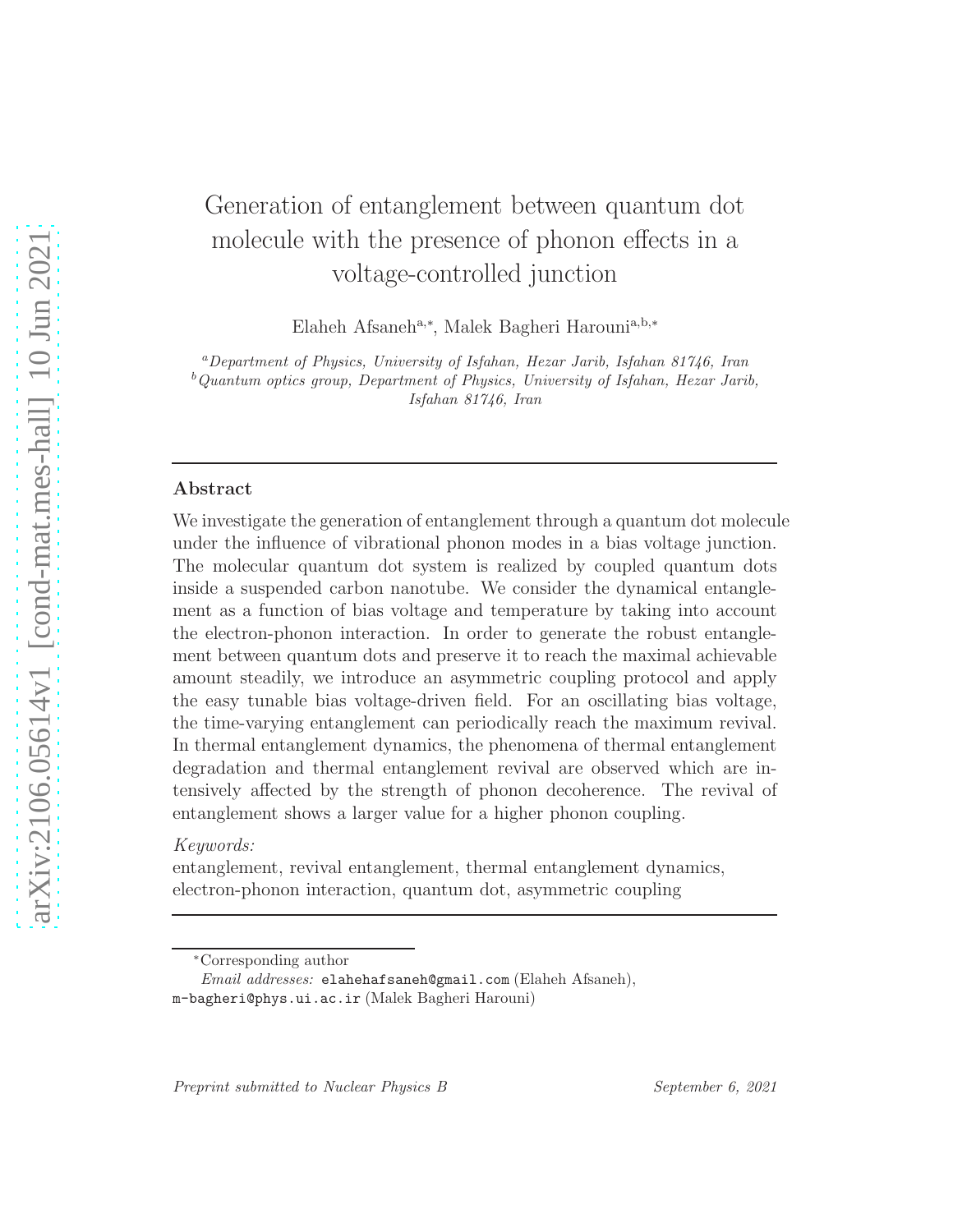# Generation of entanglement between quantum dot molecule with the presence of phonon effects in a voltage-controlled junction

Elaheh Afsaneh<sup>a,∗</sup>, Malek Bagheri Harouni<sup>a,b,∗</sup>

<sup>a</sup>Department of Physics, University of Isfahan, Hezar Jarib, Isfahan 81746, Iran  $b$ Quantum optics group, Department of Physics, University of Isfahan, Hezar Jarib, Isfahan 81746, Iran

# Abstract

We investigate the generation of entanglement through a quantum dot molecule under the influence of vibrational phonon modes in a bias voltage junction. The molecular quantum dot system is realized by coupled quantum dots inside a suspended carbon nanotube. We consider the dynamical entanglement as a function of bias voltage and temperature by taking into account the electron-phonon interaction. In order to generate the robust entanglement between quantum dots and preserve it to reach the maximal achievable amount steadily, we introduce an asymmetric coupling protocol and apply the easy tunable bias voltage-driven field. For an oscillating bias voltage, the time-varying entanglement can periodically reach the maximum revival. In thermal entanglement dynamics, the phenomena of thermal entanglement degradation and thermal entanglement revival are observed which are intensively affected by the strength of phonon decoherence. The revival of entanglement shows a larger value for a higher phonon coupling.

# *Keywords:*

entanglement, revival entanglement, thermal entanglement dynamics, electron-phonon interaction, quantum dot, asymmetric coupling

<sup>∗</sup>Corresponding author

Email addresses: elahehafsaneh@gmail.com (Elaheh Afsaneh), m-bagheri@phys.ui.ac.ir (Malek Bagheri Harouni)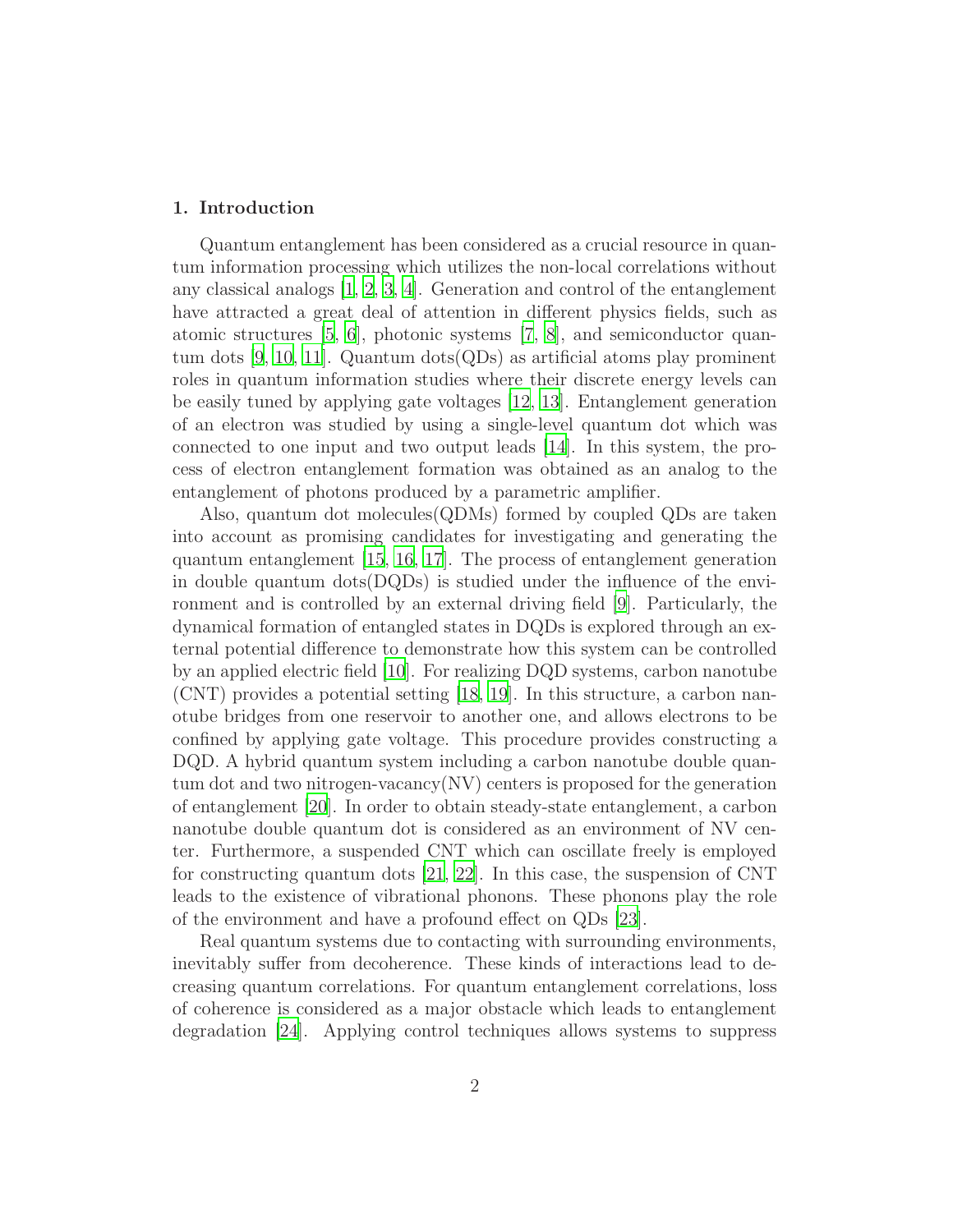# 1. Introduction

Quantum entanglement has been considered as a crucial resource in quantum information processing which utilizes the non-local correlations without any classical analogs [\[1,](#page-17-0) [2](#page-17-1), [3,](#page-17-2) [4](#page-17-3)]. Generation and control of the entanglement have attracted a great deal of attention in different physics fields, such as atomic structures [\[5,](#page-17-4) [6\]](#page-17-5), photonic systems [\[7,](#page-17-6) [8\]](#page-17-7), and semiconductor quantum dots [\[9,](#page-17-8) [10](#page-17-9), [11\]](#page-17-10). Quantum dots(QDs) as artificial atoms play prominent roles in quantum information studies where their discrete energy levels can be easily tuned by applying gate voltages [\[12,](#page-17-11) [13\]](#page-17-12). Entanglement generation of an electron was studied by using a single-level quantum dot which was connected to one input and two output leads [\[14\]](#page-17-13). In this system, the process of electron entanglement formation was obtained as an analog to the entanglement of photons produced by a parametric amplifier.

Also, quantum dot molecules(QDMs) formed by coupled QDs are taken into account as promising candidates for investigating and generating the quantum entanglement [\[15](#page-17-14), [16,](#page-18-0) [17\]](#page-18-1). The process of entanglement generation in double quantum dots $(DQDs)$  is studied under the influence of the environment and is controlled by an external driving field [\[9\]](#page-17-8). Particularly, the dynamical formation of entangled states in DQDs is explored through an external potential difference to demonstrate how this system can be controlled by an applied electric field [\[10\]](#page-17-9). For realizing DQD systems, carbon nanotube (CNT) provides a potential setting [\[18,](#page-18-2) [19](#page-18-3)]. In this structure, a carbon nanotube bridges from one reservoir to another one, and allows electrons to be confined by applying gate voltage. This procedure provides constructing a DQD. A hybrid quantum system including a carbon nanotube double quantum dot and two nitrogen-vacancy(NV) centers is proposed for the generation of entanglement [\[20](#page-18-4)]. In order to obtain steady-state entanglement, a carbon nanotube double quantum dot is considered as an environment of NV center. Furthermore, a suspended CNT which can oscillate freely is employed for constructing quantum dots [\[21,](#page-18-5) [22\]](#page-18-6). In this case, the suspension of CNT leads to the existence of vibrational phonons. These phonons play the role of the environment and have a profound effect on QDs [\[23\]](#page-18-7).

Real quantum systems due to contacting with surrounding environments, inevitably suffer from decoherence. These kinds of interactions lead to decreasing quantum correlations. For quantum entanglement correlations, loss of coherence is considered as a major obstacle which leads to entanglement degradation [\[24\]](#page-18-8). Applying control techniques allows systems to suppress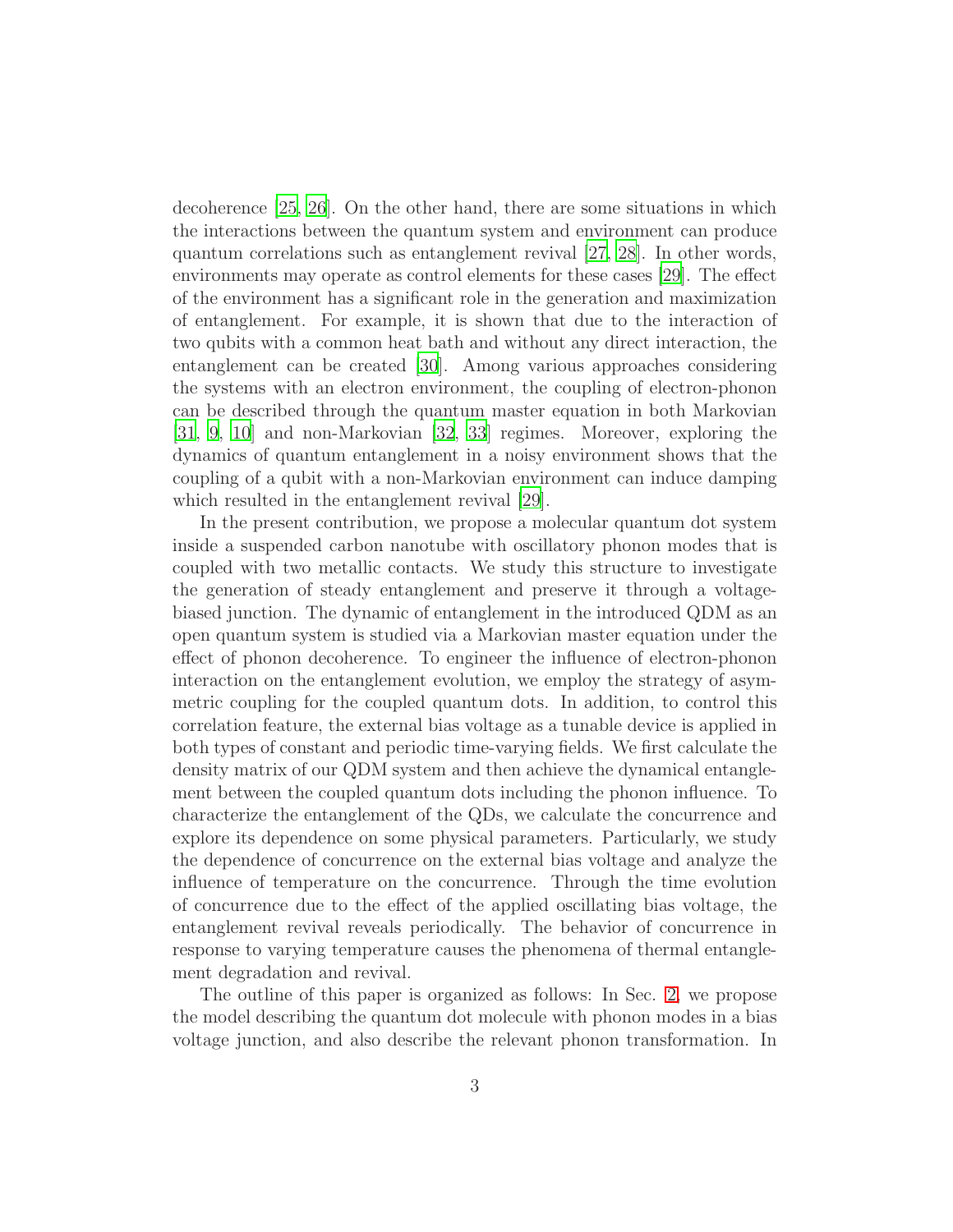decoherence [\[25,](#page-18-9) [26\]](#page-18-10). On the other hand, there are some situations in which the interactions between the quantum system and environment can produce quantum correlations such as entanglement revival [\[27,](#page-18-11) [28\]](#page-18-12). In other words, environments may operate as control elements for these cases [\[29\]](#page-18-13). The effect of the environment has a significant role in the generation and maximization of entanglement. For example, it is shown that due to the interaction of two qubits with a common heat bath and without any direct interaction, the entanglement can be created [\[30\]](#page-18-14). Among various approaches considering the systems with an electron environment, the coupling of electron-phonon can be described through the quantum master equation in both Markovian [\[31,](#page-18-15) [9,](#page-17-8) [10](#page-17-9)] and non-Markovian [\[32](#page-18-16), [33\]](#page-19-0) regimes. Moreover, exploring the dynamics of quantum entanglement in a noisy environment shows that the coupling of a qubit with a non-Markovian environment can induce damping which resulted in the entanglement revival  $|29|$ .

In the present contribution, we propose a molecular quantum dot system inside a suspended carbon nanotube with oscillatory phonon modes that is coupled with two metallic contacts. We study this structure to investigate the generation of steady entanglement and preserve it through a voltagebiased junction. The dynamic of entanglement in the introduced QDM as an open quantum system is studied via a Markovian master equation under the effect of phonon decoherence. To engineer the influence of electron-phonon interaction on the entanglement evolution, we employ the strategy of asymmetric coupling for the coupled quantum dots. In addition, to control this correlation feature, the external bias voltage as a tunable device is applied in both types of constant and periodic time-varying fields. We first calculate the density matrix of our QDM system and then achieve the dynamical entanglement between the coupled quantum dots including the phonon influence. To characterize the entanglement of the QDs, we calculate the concurrence and explore its dependence on some physical parameters. Particularly, we study the dependence of concurrence on the external bias voltage and analyze the influence of temperature on the concurrence. Through the time evolution of concurrence due to the effect of the applied oscillating bias voltage, the entanglement revival reveals periodically. The behavior of concurrence in response to varying temperature causes the phenomena of thermal entanglement degradation and revival.

The outline of this paper is organized as follows: In Sec. [2,](#page-3-0) we propose the model describing the quantum dot molecule with phonon modes in a bias voltage junction, and also describe the relevant phonon transformation. In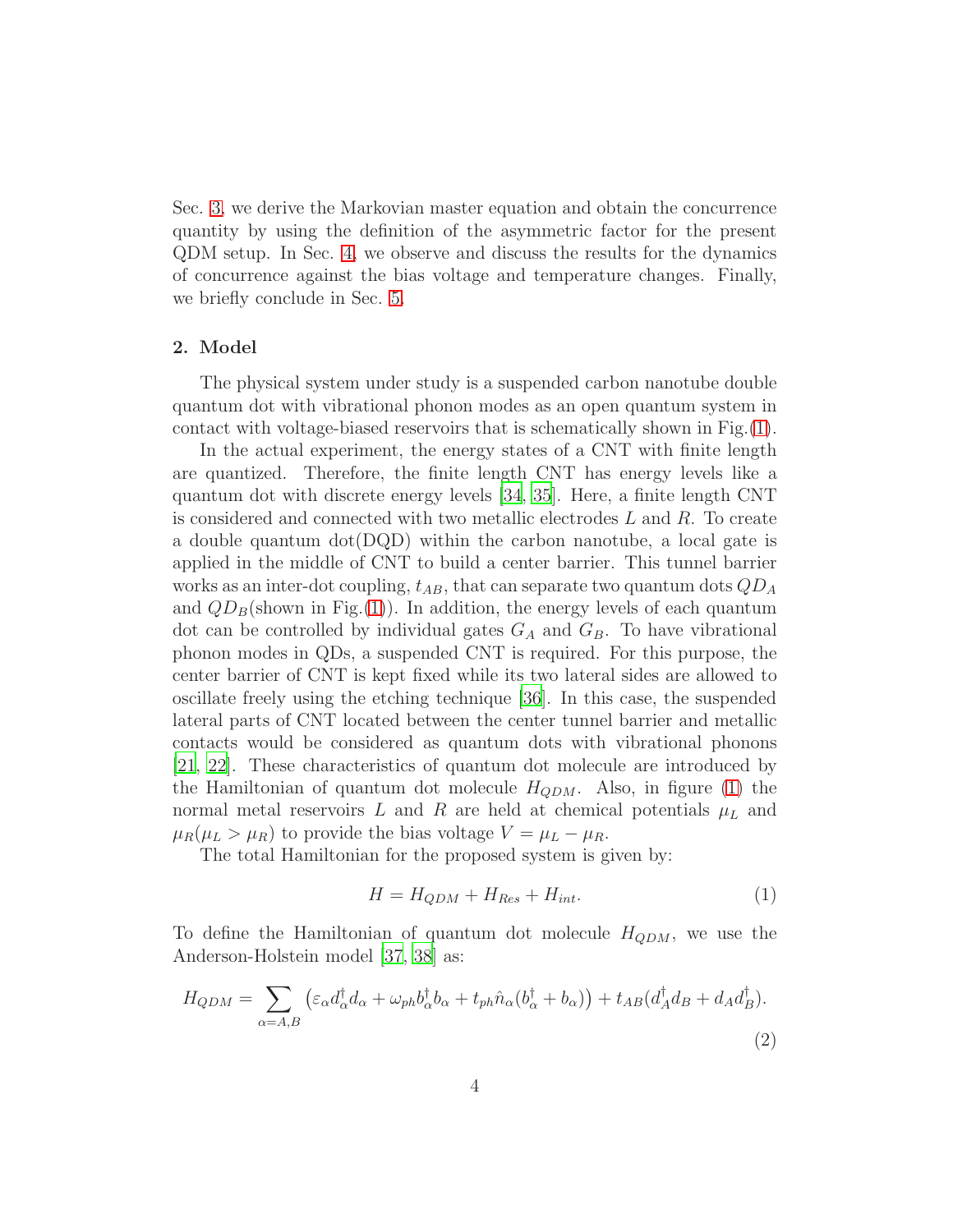Sec. [3,](#page-6-0) we derive the Markovian master equation and obtain the concurrence quantity by using the definition of the asymmetric factor for the present QDM setup. In Sec. [4,](#page-10-0) we observe and discuss the results for the dynamics of concurrence against the bias voltage and temperature changes. Finally, we briefly conclude in Sec. [5.](#page-16-0)

## <span id="page-3-0"></span>2. Model

The physical system under study is a suspended carbon nanotube double quantum dot with vibrational phonon modes as an open quantum system in contact with voltage-biased reservoirs that is schematically shown in Fig.[\(1\)](#page-4-0).

In the actual experiment, the energy states of a CNT with finite length are quantized. Therefore, the finite length CNT has energy levels like a quantum dot with discrete energy levels [\[34](#page-19-1), [35](#page-19-2)]. Here, a finite length CNT is considered and connected with two metallic electrodes  $L$  and  $R$ . To create a double quantum  $dot(DQD)$  within the carbon nanotube, a local gate is applied in the middle of CNT to build a center barrier. This tunnel barrier works as an inter-dot coupling,  $t_{AB}$ , that can separate two quantum dots  $QD_A$ and  $QD_B$ (shown in Fig.[\(1\)](#page-4-0)). In addition, the energy levels of each quantum dot can be controlled by individual gates  $G_A$  and  $G_B$ . To have vibrational phonon modes in QDs, a suspended CNT is required. For this purpose, the center barrier of CNT is kept fixed while its two lateral sides are allowed to oscillate freely using the etching technique [\[36\]](#page-19-3). In this case, the suspended lateral parts of CNT located between the center tunnel barrier and metallic contacts would be considered as quantum dots with vibrational phonons [\[21,](#page-18-5) [22\]](#page-18-6). These characteristics of quantum dot molecule are introduced by the Hamiltonian of quantum dot molecule  $H_{QDM}$ . Also, in figure [\(1\)](#page-4-0) the normal metal reservoirs L and R are held at chemical potentials  $\mu_L$  and  $\mu_R(\mu_L > \mu_R)$  to provide the bias voltage  $V = \mu_L - \mu_R$ .

The total Hamiltonian for the proposed system is given by:

<span id="page-3-2"></span>
$$
H = H_{QDM} + H_{Res} + H_{int}.\tag{1}
$$

To define the Hamiltonian of quantum dot molecule  $H_{QDM}$ , we use the Anderson-Holstein model [\[37,](#page-19-4) [38\]](#page-19-5) as:

<span id="page-3-1"></span>
$$
H_{QDM} = \sum_{\alpha = A,B} \left( \varepsilon_{\alpha} d_{\alpha}^{\dagger} d_{\alpha} + \omega_{ph} b_{\alpha}^{\dagger} b_{\alpha} + t_{ph} \hat{n}_{\alpha} (b_{\alpha}^{\dagger} + b_{\alpha}) \right) + t_{AB} (d_{A}^{\dagger} d_{B} + d_{A} d_{B}^{\dagger}).
$$
\n(2)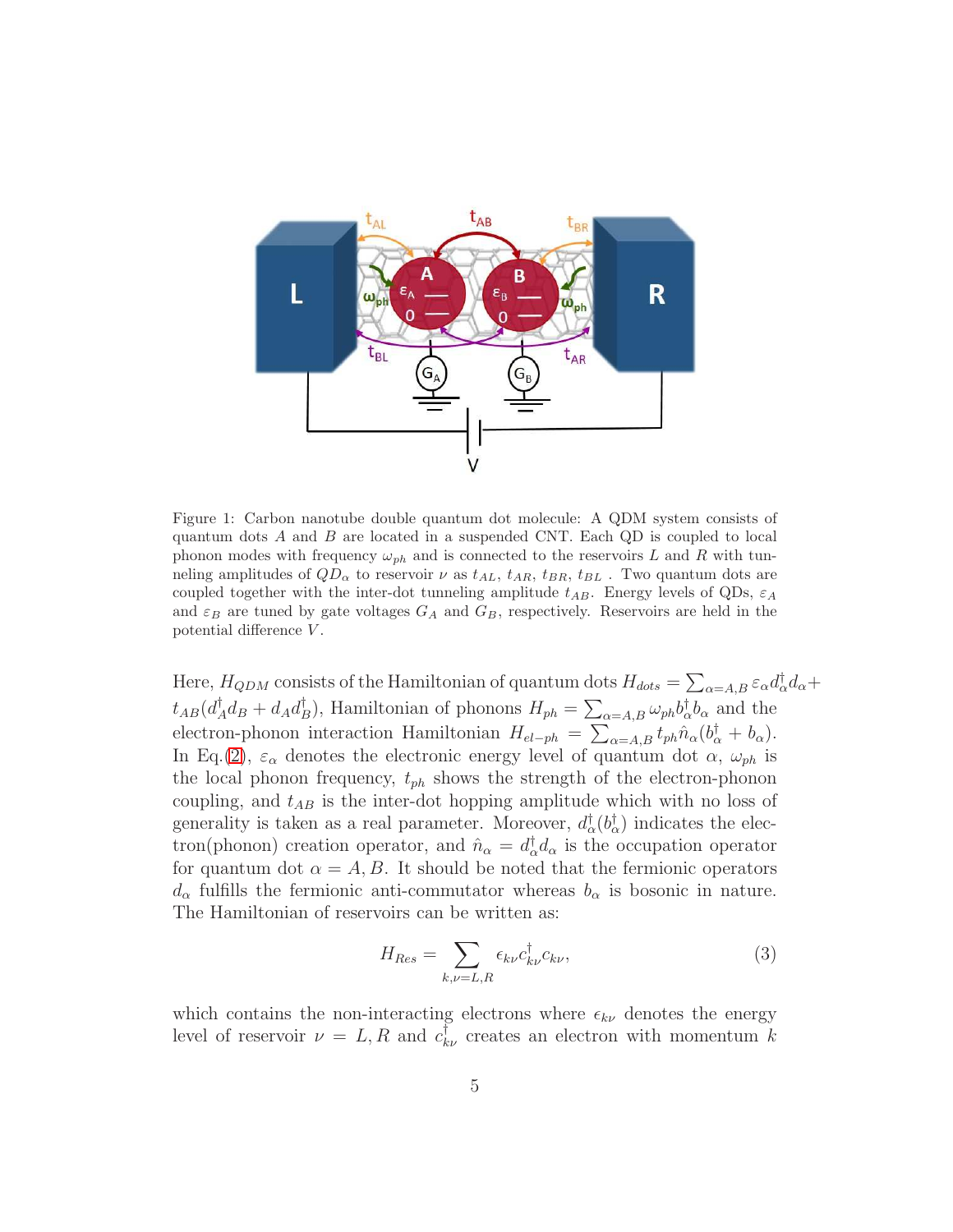

<span id="page-4-0"></span>Figure 1: Carbon nanotube double quantum dot molecule: A QDM system consists of quantum dots A and B are located in a suspended CNT. Each QD is coupled to local phonon modes with frequency  $\omega_{ph}$  and is connected to the reservoirs L and R with tunneling amplitudes of  $QD_{\alpha}$  to reservoir  $\nu$  as  $t_{AL}$ ,  $t_{AR}$ ,  $t_{BR}$ ,  $t_{BL}$ . Two quantum dots are coupled together with the inter-dot tunneling amplitude  $t_{AB}$ . Energy levels of QDs,  $\varepsilon_A$ and  $\varepsilon_B$  are tuned by gate voltages  $G_A$  and  $G_B$ , respectively. Reservoirs are held in the potential difference V .

Here,  $H_{QDM}$  consists of the Hamiltonian of quantum dots  $H_{dots} = \sum_{\alpha=A,B} \varepsilon_{\alpha} d_{\alpha}^{\dagger} d_{\alpha} +$  $t_{AB}(d^\dagger_A$  $A_d^\dagger d_B + d_A d_I^\dagger$ <sup>†</sup><sub>B</sub>), Hamiltonian of phonons  $H_{ph} = \sum_{\alpha=A,B} \omega_{ph} b_{\alpha}^{\dagger} b_{\alpha}$  and the electron-phonon interaction Hamiltonian  $H_{el-ph} = \sum_{\alpha=A,B} t_{ph} \hat{n}_{\alpha} (b_{\alpha}^{\dagger} + b_{\alpha}).$ In Eq.[\(2\)](#page-3-1),  $\varepsilon_{\alpha}$  denotes the electronic energy level of quantum dot  $\alpha$ ,  $\omega_{ph}$  is the local phonon frequency,  $t_{ph}$  shows the strength of the electron-phonon coupling, and  $t_{AB}$  is the inter-dot hopping amplitude which with no loss of generality is taken as a real parameter. Moreover,  $d_{\alpha}^{\dagger}(b_{\alpha}^{\dagger})$  indicates the electron(phonon) creation operator, and  $\hat{n}_{\alpha} = d_{\alpha}^{\dagger} d_{\alpha}$  is the occupation operator for quantum dot  $\alpha = A, B$ . It should be noted that the fermionic operators  $d_{\alpha}$  fulfills the fermionic anti-commutator whereas  $b_{\alpha}$  is bosonic in nature. The Hamiltonian of reservoirs can be written as:

$$
H_{Res} = \sum_{k,\nu=L,R} \epsilon_{k\nu} c_{k\nu}^{\dagger} c_{k\nu},\tag{3}
$$

which contains the non-interacting electrons where  $\epsilon_{k\nu}$  denotes the energy level of reservoir  $\nu = L, R$  and  $c^{\dagger}_{k\nu}$  creates an electron with momentum k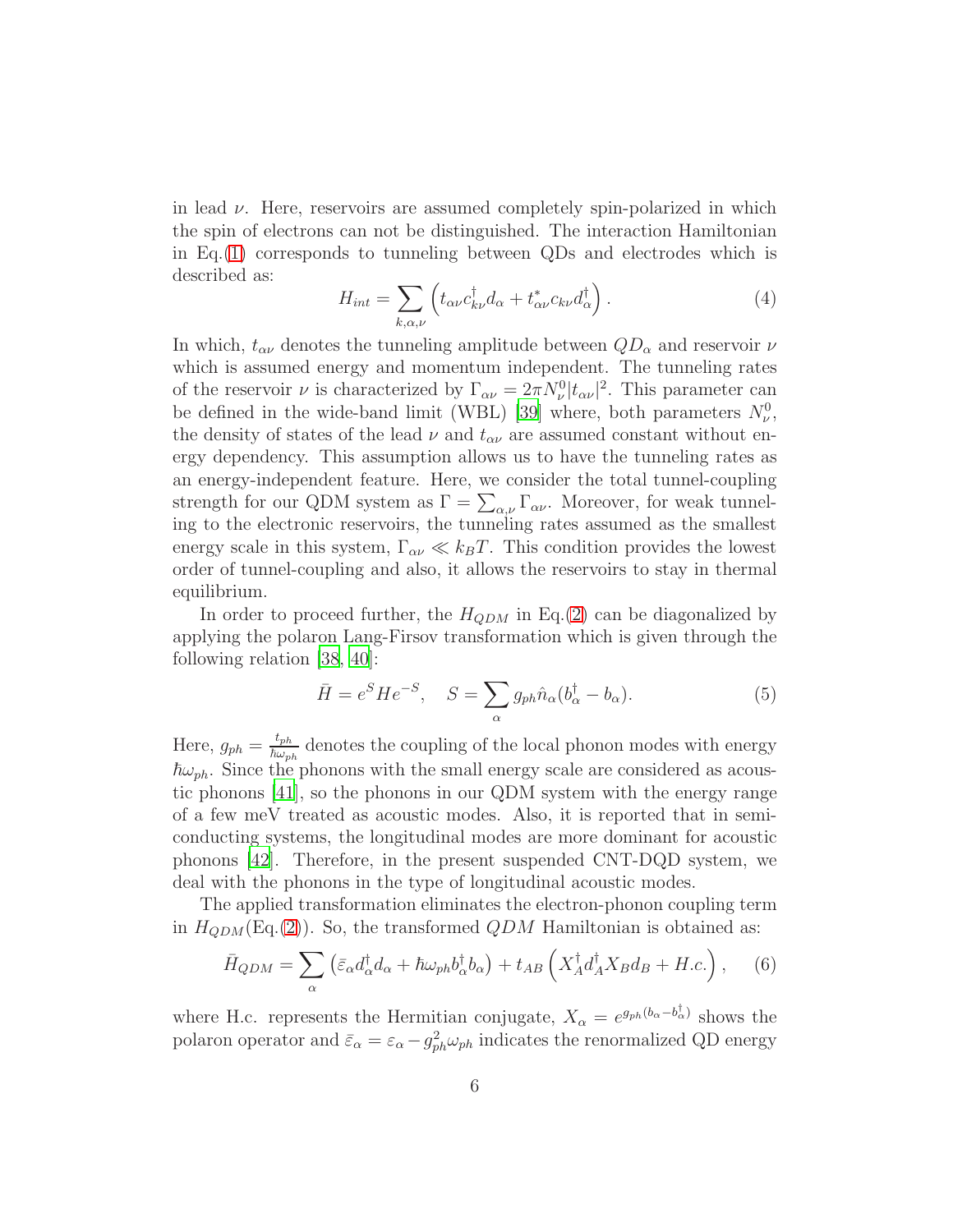in lead  $\nu$ . Here, reservoirs are assumed completely spin-polarized in which the spin of electrons can not be distinguished. The interaction Hamiltonian in Eq.[\(1\)](#page-3-2) corresponds to tunneling between QDs and electrodes which is described as:

$$
H_{int} = \sum_{k,\alpha,\nu} \left( t_{\alpha\nu} c_{k\nu}^\dagger d_\alpha + t_{\alpha\nu}^* c_{k\nu} d_\alpha^\dagger \right). \tag{4}
$$

In which,  $t_{\alpha\nu}$  denotes the tunneling amplitude between  $QD_{\alpha}$  and reservoir  $\nu$ which is assumed energy and momentum independent. The tunneling rates of the reservoir  $\nu$  is characterized by  $\Gamma_{\alpha\nu} = 2\pi N_{\nu}^0 |t_{\alpha\nu}|^2$ . This parameter can be defined in the wide-band limit (WBL) [\[39\]](#page-19-6) where, both parameters  $N_{\nu}^{0}$ , the density of states of the lead  $\nu$  and  $t_{\alpha\nu}$  are assumed constant without energy dependency. This assumption allows us to have the tunneling rates as an energy-independent feature. Here, we consider the total tunnel-coupling strength for our QDM system as  $\Gamma = \sum_{\alpha,\nu} \Gamma_{\alpha\nu}$ . Moreover, for weak tunneling to the electronic reservoirs, the tunneling rates assumed as the smallest energy scale in this system,  $\Gamma_{\alpha\nu} \ll k_B T$ . This condition provides the lowest order of tunnel-coupling and also, it allows the reservoirs to stay in thermal equilibrium.

In order to proceed further, the  $H_{QDM}$  in Eq.[\(2\)](#page-3-1) can be diagonalized by applying the polaron Lang-Firsov transformation which is given through the following relation [\[38](#page-19-5), [40](#page-19-7)]:

$$
\bar{H} = e^{S} H e^{-S}, \quad S = \sum_{\alpha} g_{ph} \hat{n}_{\alpha} (b_{\alpha}^{\dagger} - b_{\alpha}). \tag{5}
$$

Here,  $g_{ph} = \frac{t_{ph}}{\hbar \omega_{ph}}$  $\frac{\ell_{ph}}{\hbar\omega_{ph}}$  denotes the coupling of the local phonon modes with energy  $\hbar\omega_{ph}$ . Since the phonons with the small energy scale are considered as acoustic phonons [\[41](#page-19-8)], so the phonons in our QDM system with the energy range of a few meV treated as acoustic modes. Also, it is reported that in semiconducting systems, the longitudinal modes are more dominant for acoustic phonons [\[42](#page-19-9)]. Therefore, in the present suspended CNT-DQD system, we deal with the phonons in the type of longitudinal acoustic modes.

The applied transformation eliminates the electron-phonon coupling term in  $H_{QDM}(\text{Eq.}(2))$  $H_{QDM}(\text{Eq.}(2))$  $H_{QDM}(\text{Eq.}(2))$ . So, the transformed  $QDM$  Hamiltonian is obtained as:

<span id="page-5-0"></span>
$$
\bar{H}_{QDM} = \sum_{\alpha} \left( \bar{\varepsilon}_{\alpha} d_{\alpha}^{\dagger} d_{\alpha} + \hbar \omega_{ph} b_{\alpha}^{\dagger} b_{\alpha} \right) + t_{AB} \left( X_{A}^{\dagger} d_{A}^{\dagger} X_{B} d_{B} + H.c. \right), \quad (6)
$$

where H.c. represents the Hermitian conjugate,  $X_{\alpha} = e^{g_{ph}(b_{\alpha} - b_{\alpha}^{\dagger})}$  shows the polaron operator and  $\bar{\varepsilon}_{\alpha} = \varepsilon_{\alpha} - g_{ph}^2 \omega_{ph}$  indicates the renormalized QD energy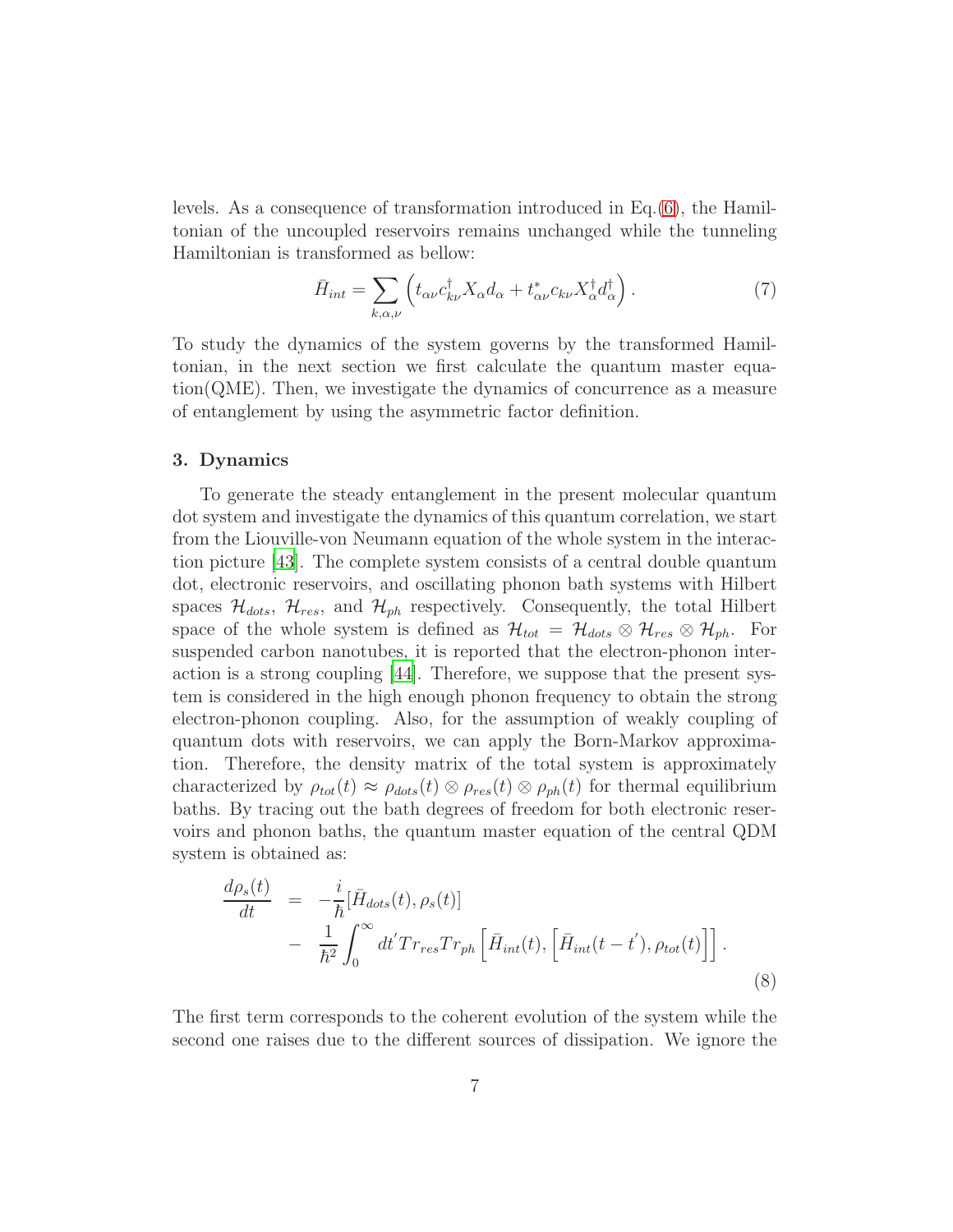levels. As a consequence of transformation introduced in Eq.[\(6\)](#page-5-0), the Hamiltonian of the uncoupled reservoirs remains unchanged while the tunneling Hamiltonian is transformed as bellow:

$$
\bar{H}_{int} = \sum_{k,\alpha,\nu} \left( t_{\alpha\nu} c_{k\nu}^{\dagger} X_{\alpha} d_{\alpha} + t_{\alpha\nu}^{*} c_{k\nu} X_{\alpha}^{\dagger} d_{\alpha}^{\dagger} \right). \tag{7}
$$

To study the dynamics of the system governs by the transformed Hamiltonian, in the next section we first calculate the quantum master equation(QME). Then, we investigate the dynamics of concurrence as a measure of entanglement by using the asymmetric factor definition.

# <span id="page-6-0"></span>3. Dynamics

To generate the steady entanglement in the present molecular quantum dot system and investigate the dynamics of this quantum correlation, we start from the Liouville-von Neumann equation of the whole system in the interaction picture [\[43](#page-19-10)]. The complete system consists of a central double quantum dot, electronic reservoirs, and oscillating phonon bath systems with Hilbert spaces  $\mathcal{H}_{dots}$ ,  $\mathcal{H}_{res}$ , and  $\mathcal{H}_{ph}$  respectively. Consequently, the total Hilbert space of the whole system is defined as  $\mathcal{H}_{tot} = \mathcal{H}_{dots} \otimes \mathcal{H}_{ph}$ . For suspended carbon nanotubes, it is reported that the electron-phonon interaction is a strong coupling [\[44\]](#page-19-11). Therefore, we suppose that the present system is considered in the high enough phonon frequency to obtain the strong electron-phonon coupling. Also, for the assumption of weakly coupling of quantum dots with reservoirs, we can apply the Born-Markov approximation. Therefore, the density matrix of the total system is approximately characterized by  $\rho_{tot}(t) \approx \rho_{dots}(t) \otimes \rho_{res}(t) \otimes \rho_{ph}(t)$  for thermal equilibrium baths. By tracing out the bath degrees of freedom for both electronic reservoirs and phonon baths, the quantum master equation of the central QDM system is obtained as:

<span id="page-6-1"></span>
$$
\frac{d\rho_s(t)}{dt} = -\frac{i}{\hbar}[\bar{H}_{dots}(t), \rho_s(t)]
$$
  

$$
- \frac{1}{\hbar^2} \int_0^\infty dt' Tr_{res} Tr_{ph} [\bar{H}_{int}(t), [\bar{H}_{int}(t-t'), \rho_{tot}(t)]].
$$
\n(8)

The first term corresponds to the coherent evolution of the system while the second one raises due to the different sources of dissipation. We ignore the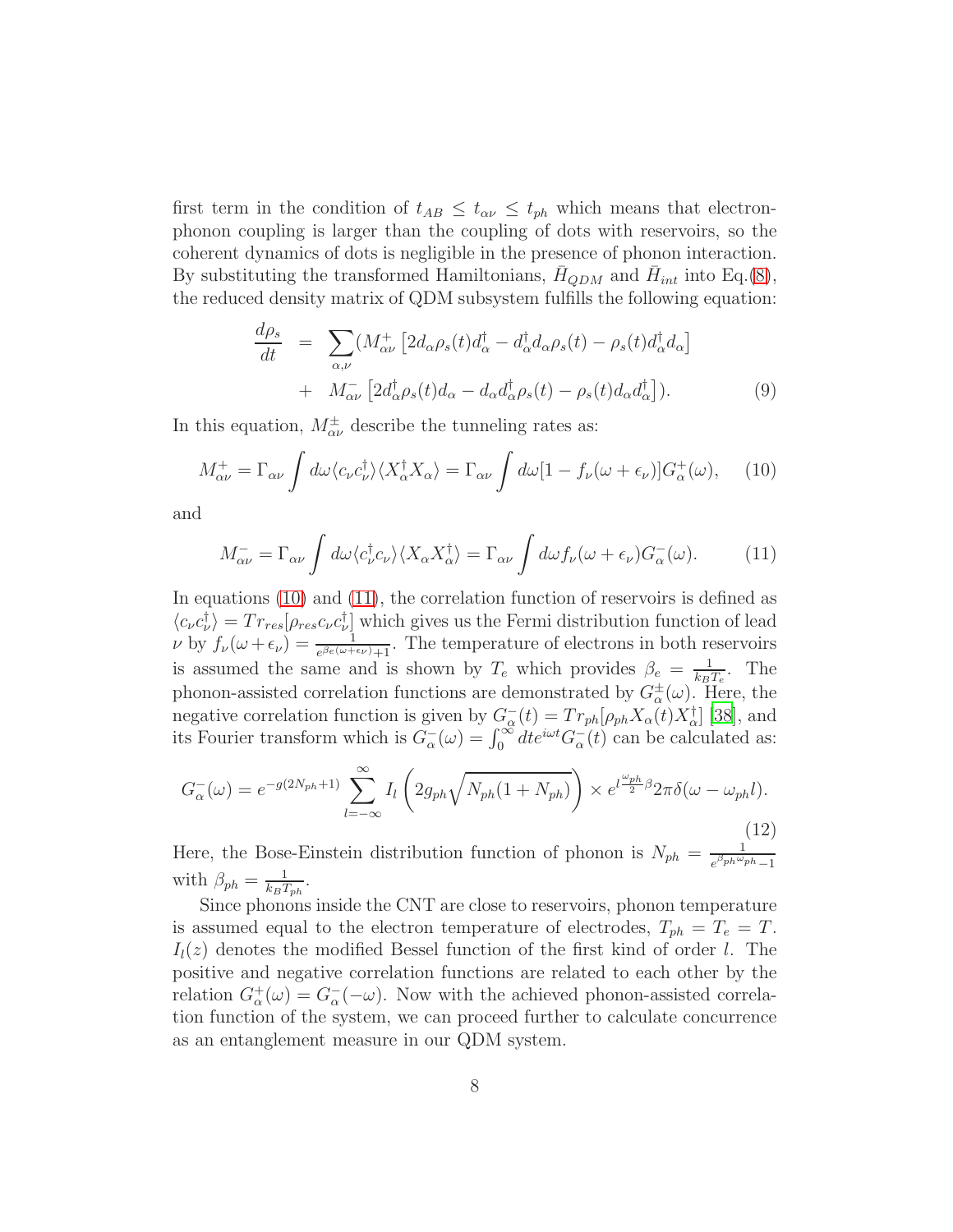first term in the condition of  $t_{AB} \leq t_{\alpha\nu} \leq t_{ph}$  which means that electronphonon coupling is larger than the coupling of dots with reservoirs, so the coherent dynamics of dots is negligible in the presence of phonon interaction. By substituting the transformed Hamiltonians,  $\bar{H}_{QDM}$  and  $\bar{H}_{int}$  into Eq.[\(8\)](#page-6-1), the reduced density matrix of QDM subsystem fulfills the following equation:

$$
\frac{d\rho_s}{dt} = \sum_{\alpha,\nu} (M^+_{\alpha\nu} \left[ 2d_{\alpha}\rho_s(t)d^{\dagger}_{\alpha} - d^{\dagger}_{\alpha}d_{\alpha}\rho_s(t) - \rho_s(t)d^{\dagger}_{\alpha}d_{\alpha} \right] \n+ M^-_{\alpha\nu} \left[ 2d^{\dagger}_{\alpha}\rho_s(t)d_{\alpha} - d_{\alpha}d^{\dagger}_{\alpha}\rho_s(t) - \rho_s(t)d_{\alpha}d^{\dagger}_{\alpha} \right].
$$
\n(9)

In this equation,  $M^{\pm}_{\alpha\nu}$  describe the tunneling rates as:

<span id="page-7-0"></span>
$$
M^+_{\alpha\nu} = \Gamma_{\alpha\nu} \int d\omega \langle c_{\nu} c_{\nu}^{\dagger} \rangle \langle X_{\alpha}^{\dagger} X_{\alpha} \rangle = \Gamma_{\alpha\nu} \int d\omega [1 - f_{\nu}(\omega + \epsilon_{\nu})] G_{\alpha}^+(\omega), \quad (10)
$$

and

<span id="page-7-1"></span>
$$
M_{\alpha\nu}^- = \Gamma_{\alpha\nu} \int d\omega \langle c_{\nu}^{\dagger} c_{\nu} \rangle \langle X_{\alpha} X_{\alpha}^{\dagger} \rangle = \Gamma_{\alpha\nu} \int d\omega f_{\nu}(\omega + \epsilon_{\nu}) G_{\alpha}^-(\omega). \tag{11}
$$

In equations [\(10\)](#page-7-0) and [\(11\)](#page-7-1), the correlation function of reservoirs is defined as  $\langle c_{\nu} c_{\nu}^{\dagger} \rangle = Tr_{res} [\rho_{res} c_{\nu} c_{\nu}^{\dagger}]$  which gives us the Fermi distribution function of lead  $\nu$  by  $f_{\nu}(\omega + \epsilon_{\nu}) = \frac{1}{e^{\beta_e(\omega + \epsilon_{\nu})}+1}$ . The temperature of electrons in both reservoirs is assumed the same and is shown by  $T_e$  which provides  $\beta_e = \frac{1}{k_P}$  $\frac{1}{k_B T_e}$ . The phonon-assisted correlation functions are demonstrated by  $G^{\pm}_{\alpha}(\omega)$ . Here, the negative correlation function is given by  $G_{\alpha}^{-}(t) = Tr_{ph}[\rho_{ph}X_{\alpha}(t)X_{\alpha}^{\dagger}]$  [\[38\]](#page-19-5), and its Fourier transform which is  $G_{\alpha}^{-}(\omega) = \int_0^{\infty} dt e^{i\omega t} G_{\alpha}^{-}(t)$  can be calculated as:

$$
G_{\alpha}^{-}(\omega) = e^{-g(2N_{ph}+1)} \sum_{l=-\infty}^{\infty} I_{l} \left( 2g_{ph} \sqrt{N_{ph}(1+N_{ph})} \right) \times e^{l\frac{\omega_{ph}}{2}\beta} 2\pi \delta(\omega - \omega_{ph} l). \tag{12}
$$

Here, the Bose-Einstein distribution function of phonon is  $N_{ph} = \frac{1}{\epsilon^{\beta_{ph}\omega_c}}$  $e^{\beta p h \omega_{ph}} - 1$ with  $\beta_{ph} = \frac{1}{k_P T}$  $\frac{1}{k_B T_{ph}}$ .

Since phonons inside the CNT are close to reservoirs, phonon temperature is assumed equal to the electron temperature of electrodes,  $T_{ph} = T_e = T$ .  $I_l(z)$  denotes the modified Bessel function of the first kind of order l. The positive and negative correlation functions are related to each other by the relation  $G^+_{\alpha}(\omega) = G^-_{\alpha}(-\omega)$ . Now with the achieved phonon-assisted correlation function of the system, we can proceed further to calculate concurrence as an entanglement measure in our QDM system.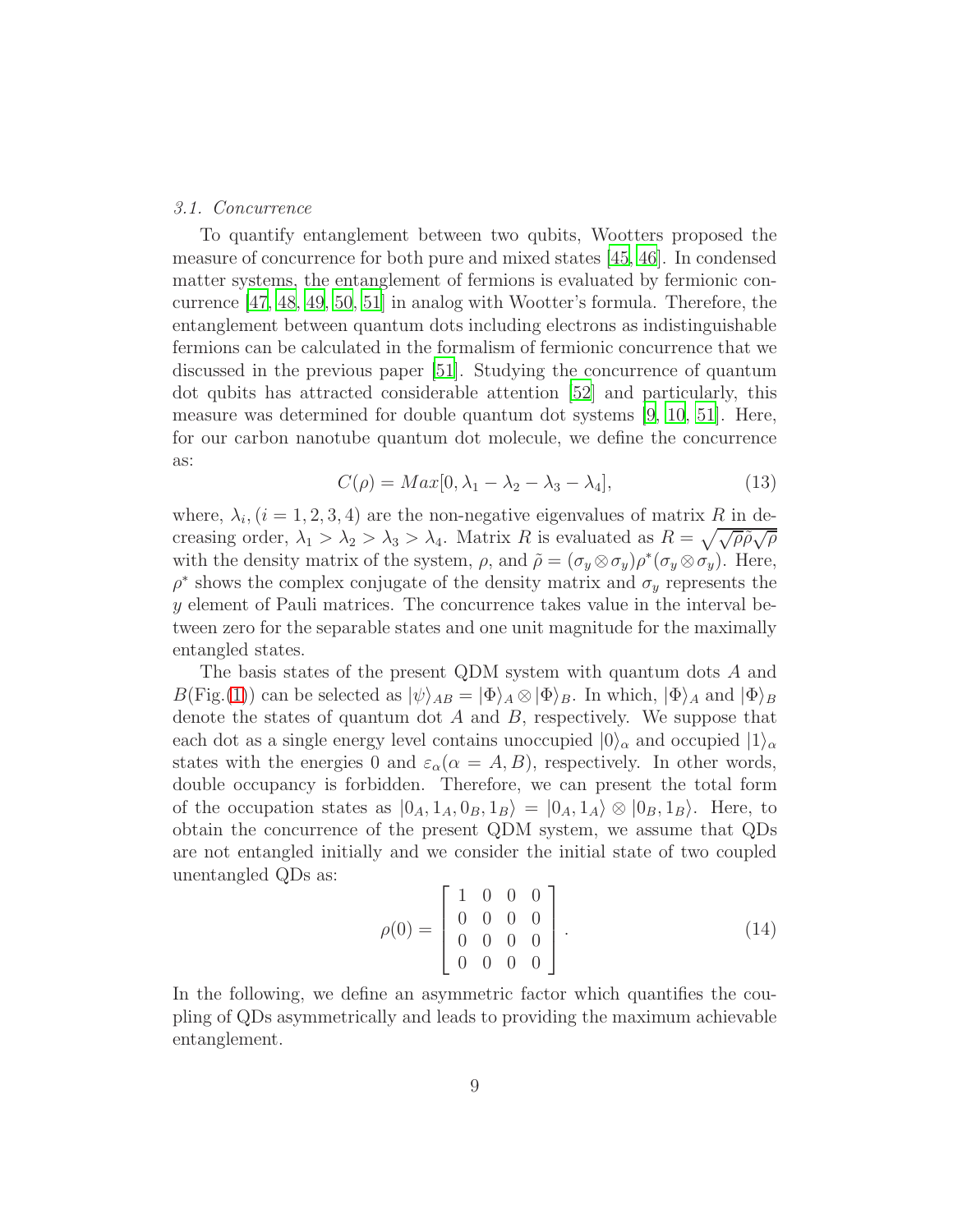#### *3.1. Concurrence*

To quantify entanglement between two qubits, Wootters proposed the measure of concurrence for both pure and mixed states [\[45](#page-19-12), [46](#page-19-13)]. In condensed matter systems, the entanglement of fermions is evaluated by fermionic concurrence [\[47,](#page-19-14) [48](#page-19-15), [49,](#page-20-0) [50,](#page-20-1) [51\]](#page-20-2) in analog with Wootter's formula. Therefore, the entanglement between quantum dots including electrons as indistinguishable fermions can be calculated in the formalism of fermionic concurrence that we discussed in the previous paper [\[51\]](#page-20-2). Studying the concurrence of quantum dot qubits has attracted considerable attention [\[52\]](#page-20-3) and particularly, this measure was determined for double quantum dot systems [\[9](#page-17-8), [10,](#page-17-9) [51\]](#page-20-2). Here, for our carbon nanotube quantum dot molecule, we define the concurrence as:

$$
C(\rho) = Max[0, \lambda_1 - \lambda_2 - \lambda_3 - \lambda_4], \tag{13}
$$

where,  $\lambda_i$ ,  $(i = 1, 2, 3, 4)$  are the non-negative eigenvalues of matrix R in decreasing order,  $\lambda_1 > \lambda_2 > \lambda_3 > \lambda_4$ . Matrix R is evaluated as  $R = \sqrt{\sqrt{\rho \tilde{\rho}} \sqrt{\rho}}$ with the density matrix of the system,  $\rho$ , and  $\tilde{\rho} = (\sigma_y \otimes \sigma_y)\rho^*(\sigma_y \otimes \sigma_y)$ . Here,  $\rho^*$  shows the complex conjugate of the density matrix and  $\sigma_y$  represents the y element of Pauli matrices. The concurrence takes value in the interval between zero for the separable states and one unit magnitude for the maximally entangled states.

The basis states of the present QDM system with quantum dots A and  $B(Fig.(1))$  $B(Fig.(1))$  $B(Fig.(1))$  can be selected as  $|\psi\rangle_{AB} = |\Phi\rangle_A \otimes |\Phi\rangle_B$ . In which,  $|\Phi\rangle_A$  and  $|\Phi\rangle_B$ denote the states of quantum dot  $A$  and  $B$ , respectively. We suppose that each dot as a single energy level contains unoccupied  $|0\rangle_{\alpha}$  and occupied  $|1\rangle_{\alpha}$ states with the energies 0 and  $\varepsilon_{\alpha}(\alpha = A, B)$ , respectively. In other words, double occupancy is forbidden. Therefore, we can present the total form of the occupation states as  $|0_A, 1_A, 0_B, 1_B\rangle = |0_A, 1_A\rangle \otimes |0_B, 1_B\rangle$ . Here, to obtain the concurrence of the present QDM system, we assume that QDs are not entangled initially and we consider the initial state of two coupled unentangled QDs as:

$$
\rho(0) = \begin{bmatrix} 1 & 0 & 0 & 0 \\ 0 & 0 & 0 & 0 \\ 0 & 0 & 0 & 0 \\ 0 & 0 & 0 & 0 \end{bmatrix} . \tag{14}
$$

In the following, we define an asymmetric factor which quantifies the coupling of QDs asymmetrically and leads to providing the maximum achievable entanglement.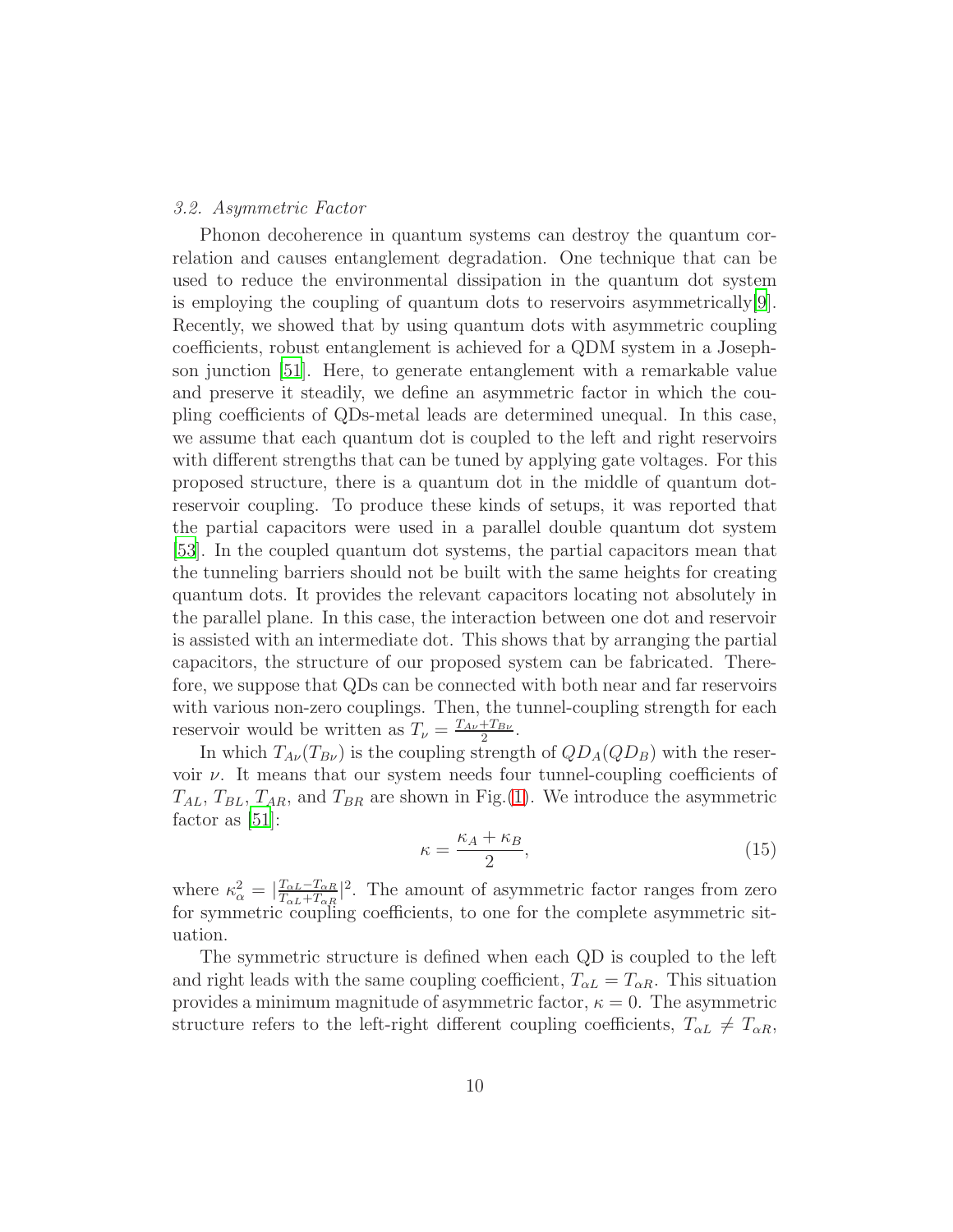# *3.2. Asymmetric Factor*

Phonon decoherence in quantum systems can destroy the quantum correlation and causes entanglement degradation. One technique that can be used to reduce the environmental dissipation in the quantum dot system is employing the coupling of quantum dots to reservoirs asymmetrically $[9]$ . Recently, we showed that by using quantum dots with asymmetric coupling coefficients, robust entanglement is achieved for a QDM system in a Josephson junction [\[51\]](#page-20-2). Here, to generate entanglement with a remarkable value and preserve it steadily, we define an asymmetric factor in which the coupling coefficients of QDs-metal leads are determined unequal. In this case, we assume that each quantum dot is coupled to the left and right reservoirs with different strengths that can be tuned by applying gate voltages. For this proposed structure, there is a quantum dot in the middle of quantum dotreservoir coupling. To produce these kinds of setups, it was reported that the partial capacitors were used in a parallel double quantum dot system [\[53\]](#page-20-4). In the coupled quantum dot systems, the partial capacitors mean that the tunneling barriers should not be built with the same heights for creating quantum dots. It provides the relevant capacitors locating not absolutely in the parallel plane. In this case, the interaction between one dot and reservoir is assisted with an intermediate dot. This shows that by arranging the partial capacitors, the structure of our proposed system can be fabricated. Therefore, we suppose that QDs can be connected with both near and far reservoirs with various non-zero couplings. Then, the tunnel-coupling strength for each reservoir would be written as  $T_{\nu} = \frac{T_{A\nu} + T_{B\nu}}{2}$  $\frac{+T_{B\nu}}{2}$ .

In which  $T_{A\nu}(T_{B\nu})$  is the coupling strength of  $QD_A(QD_B)$  with the reservoir  $\nu$ . It means that our system needs four tunnel-coupling coefficients of  $T_{AL}$ ,  $T_{BL}$ ,  $T_{AR}$ , and  $T_{BR}$  are shown in Fig.[\(1\)](#page-4-0). We introduce the asymmetric factor as [\[51\]](#page-20-2):

$$
\kappa = \frac{\kappa_A + \kappa_B}{2},\tag{15}
$$

where  $\kappa_{\alpha}^2 = \left| \frac{T_{\alpha L} - T_{\alpha R}}{T_{\alpha L} + T_{\alpha R}} \right|$  $\frac{T_{\alpha L}-T_{\alpha R}}{T_{\alpha L}+T_{\alpha R}}$ <sup>2</sup>. The amount of asymmetric factor ranges from zero for symmetric coupling coefficients, to one for the complete asymmetric situation.

The symmetric structure is defined when each QD is coupled to the left and right leads with the same coupling coefficient,  $T_{\alpha L} = T_{\alpha R}$ . This situation provides a minimum magnitude of asymmetric factor,  $\kappa = 0$ . The asymmetric structure refers to the left-right different coupling coefficients,  $T_{\alpha L} \neq T_{\alpha R}$ ,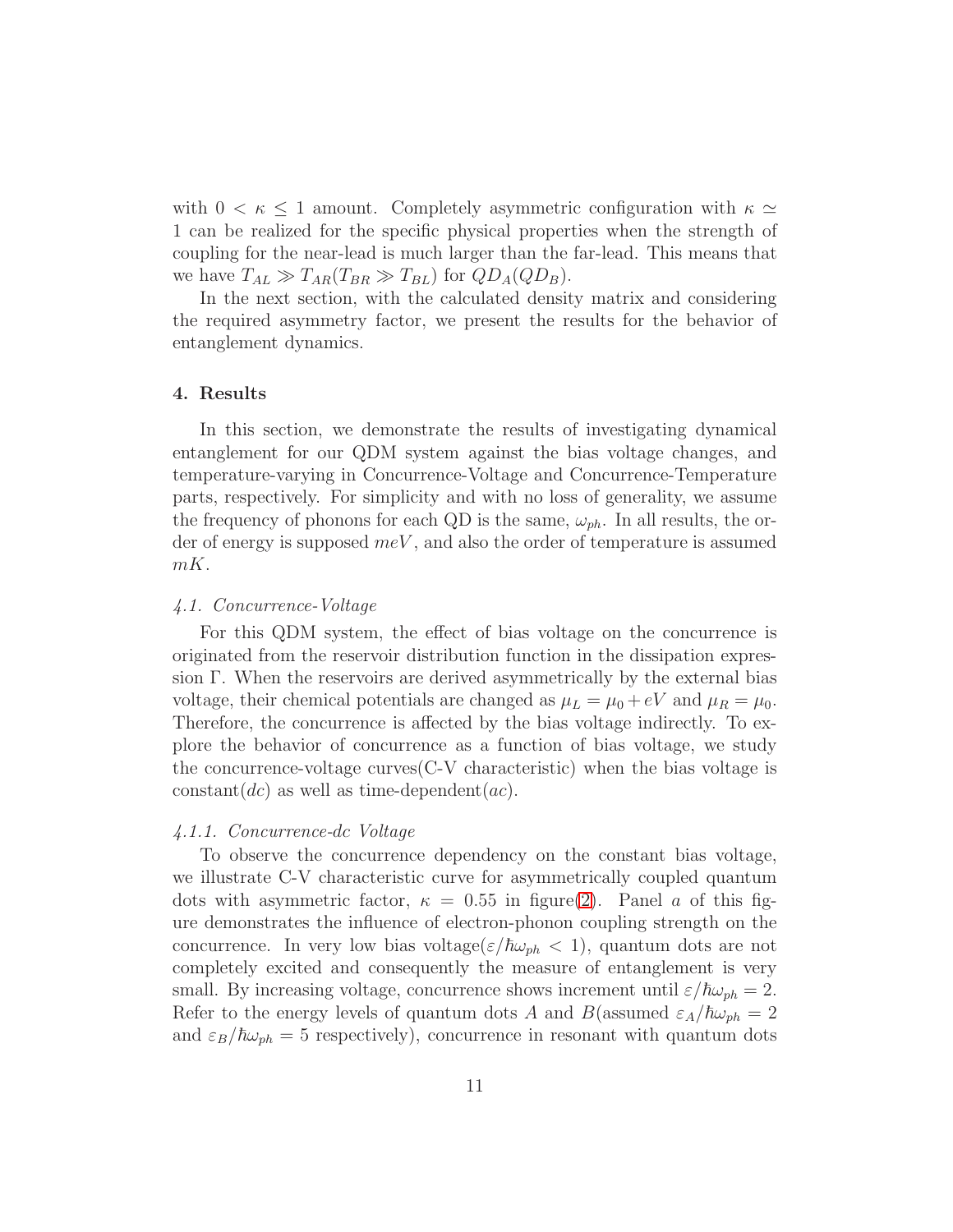with  $0 < \kappa \leq 1$  amount. Completely asymmetric configuration with  $\kappa \simeq$ 1 can be realized for the specific physical properties when the strength of coupling for the near-lead is much larger than the far-lead. This means that we have  $T_{AL} \gg T_{AR}(T_{BR} \gg T_{BL})$  for  $QD_A(QD_B)$ .

In the next section, with the calculated density matrix and considering the required asymmetry factor, we present the results for the behavior of entanglement dynamics.

# <span id="page-10-0"></span>4. Results

In this section, we demonstrate the results of investigating dynamical entanglement for our QDM system against the bias voltage changes, and temperature-varying in Concurrence-Voltage and Concurrence-Temperature parts, respectively. For simplicity and with no loss of generality, we assume the frequency of phonons for each QD is the same,  $\omega_{ph}$ . In all results, the order of energy is supposed  $meV$ , and also the order of temperature is assumed mK.

#### *4.1. Concurrence-Voltage*

For this QDM system, the effect of bias voltage on the concurrence is originated from the reservoir distribution function in the dissipation expression Γ. When the reservoirs are derived asymmetrically by the external bias voltage, their chemical potentials are changed as  $\mu_L = \mu_0 + eV$  and  $\mu_R = \mu_0$ . Therefore, the concurrence is affected by the bias voltage indirectly. To explore the behavior of concurrence as a function of bias voltage, we study the concurrence-voltage curves(C-V characteristic) when the bias voltage is constant(dc) as well as time-dependent(ac).

#### *4.1.1. Concurrence-*dc *Voltage*

To observe the concurrence dependency on the constant bias voltage, we illustrate C-V characteristic curve for asymmetrically coupled quantum dots with asymmetric factor,  $\kappa = 0.55$  in figure[\(2\)](#page-11-0). Panel a of this figure demonstrates the influence of electron-phonon coupling strength on the concurrence. In very low bias voltage( $\varepsilon/\hbar\omega_{ph} < 1$ ), quantum dots are not completely excited and consequently the measure of entanglement is very small. By increasing voltage, concurrence shows increment until  $\varepsilon/\hbar\omega_{ph} = 2$ . Refer to the energy levels of quantum dots A and B(assumed  $\varepsilon_A/\hbar\omega_{ph} = 2$ and  $\varepsilon_B/\hbar\omega_{ph} = 5$  respectively), concurrence in resonant with quantum dots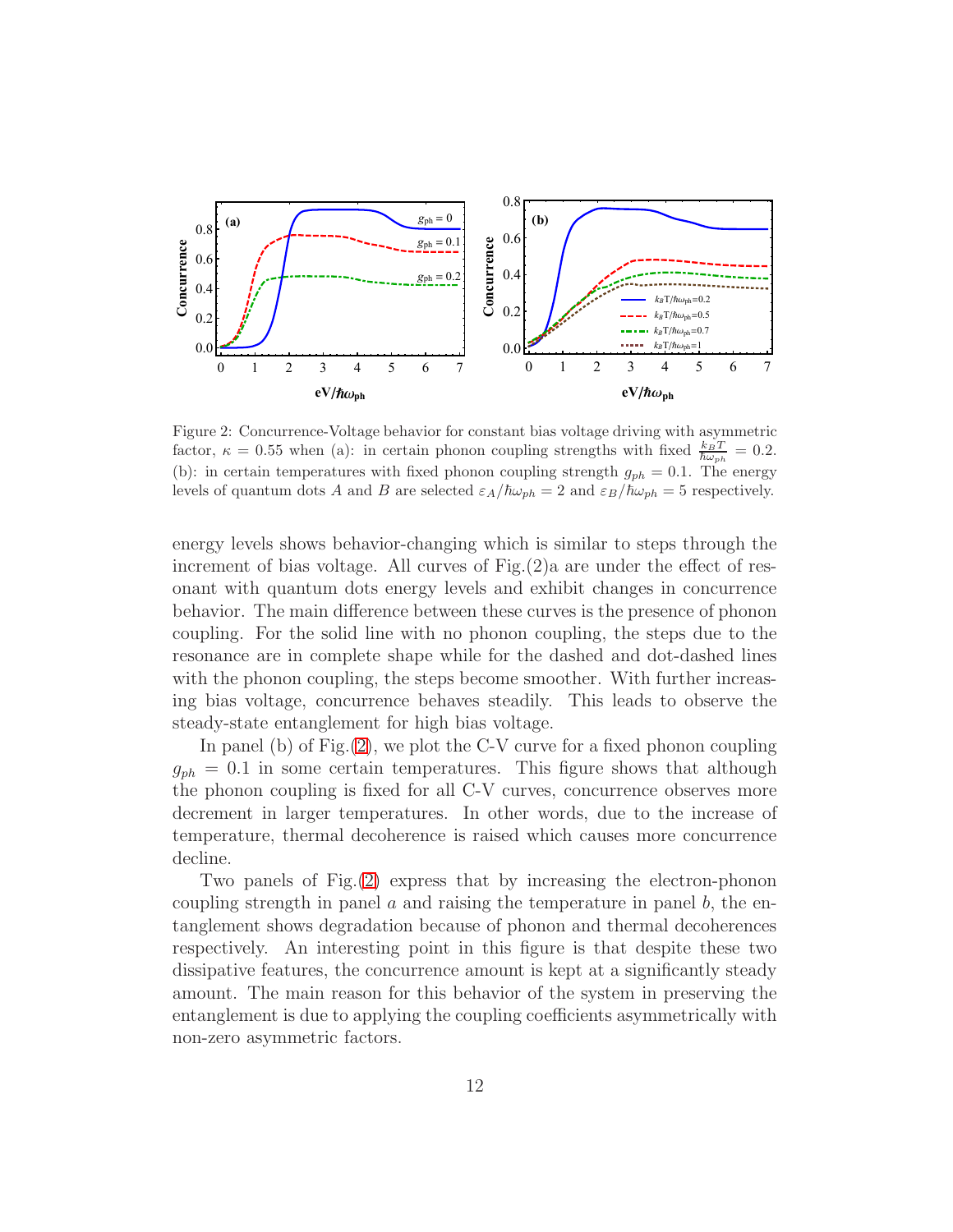

<span id="page-11-0"></span>Figure 2: Concurrence-Voltage behavior for constant bias voltage driving with asymmetric factor,  $\kappa = 0.55$  when (a): in certain phonon coupling strengths with fixed  $\frac{k_B T}{\hbar \omega_{ph}} = 0.2$ . (b): in certain temperatures with fixed phonon coupling strength  $g_{ph} = 0.1$ . The energy levels of quantum dots A and B are selected  $\varepsilon_A/\hbar\omega_{ph} = 2$  and  $\varepsilon_B/\hbar\omega_{ph} = 5$  respectively.

energy levels shows behavior-changing which is similar to steps through the increment of bias voltage. All curves of  $Fig. (2)a$  are under the effect of resonant with quantum dots energy levels and exhibit changes in concurrence behavior. The main difference between these curves is the presence of phonon coupling. For the solid line with no phonon coupling, the steps due to the resonance are in complete shape while for the dashed and dot-dashed lines with the phonon coupling, the steps become smoother. With further increasing bias voltage, concurrence behaves steadily. This leads to observe the steady-state entanglement for high bias voltage.

In panel (b) of Fig. [\(2\)](#page-11-0), we plot the C-V curve for a fixed phonon coupling  $g_{ph} = 0.1$  in some certain temperatures. This figure shows that although the phonon coupling is fixed for all C-V curves, concurrence observes more decrement in larger temperatures. In other words, due to the increase of temperature, thermal decoherence is raised which causes more concurrence decline.

Two panels of Fig.[\(2\)](#page-11-0) express that by increasing the electron-phonon coupling strength in panel  $\alpha$  and raising the temperature in panel  $\beta$ , the entanglement shows degradation because of phonon and thermal decoherences respectively. An interesting point in this figure is that despite these two dissipative features, the concurrence amount is kept at a significantly steady amount. The main reason for this behavior of the system in preserving the entanglement is due to applying the coupling coefficients asymmetrically with non-zero asymmetric factors.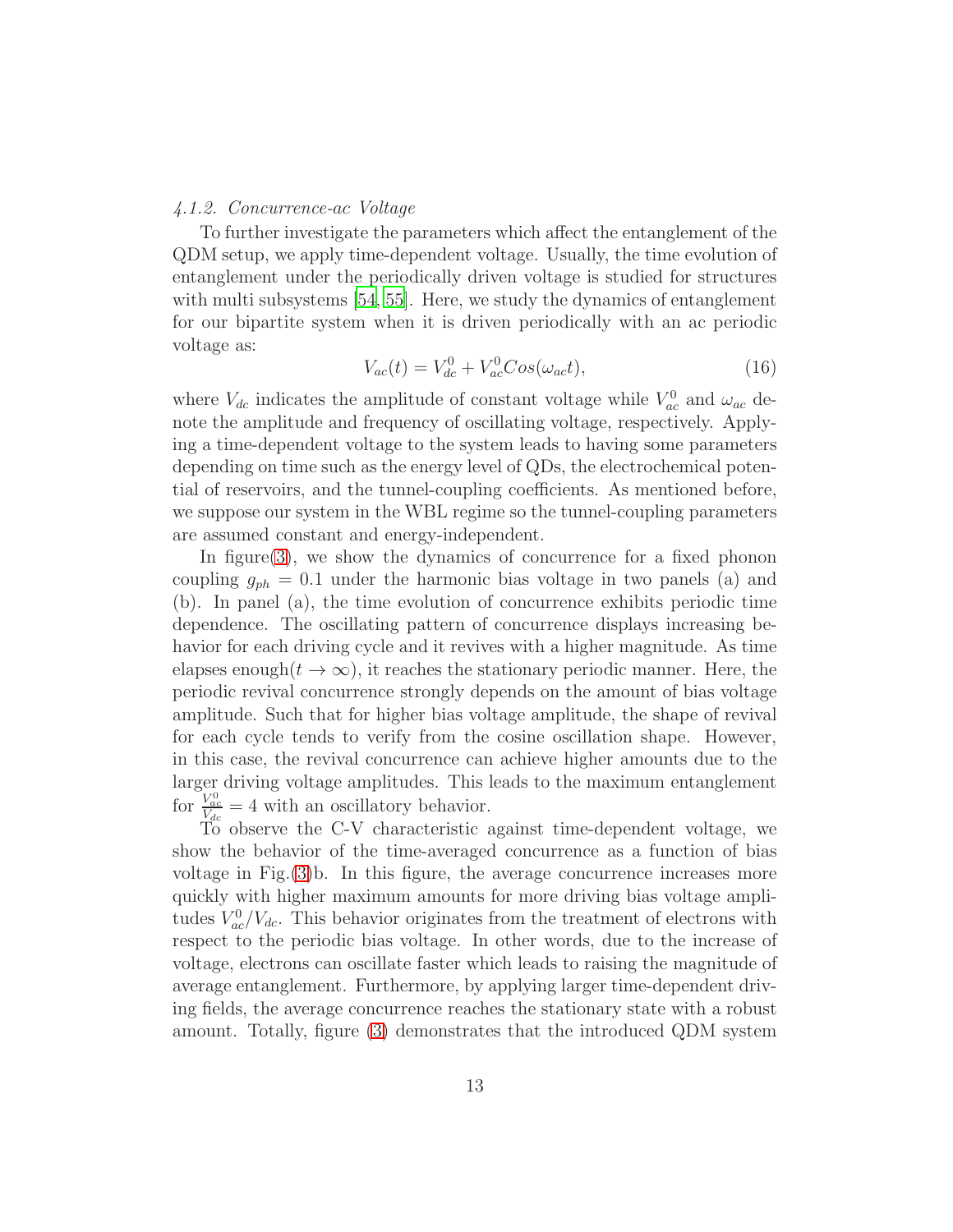# *4.1.2. Concurrence-*ac *Voltage*

To further investigate the parameters which affect the entanglement of the QDM setup, we apply time-dependent voltage. Usually, the time evolution of entanglement under the periodically driven voltage is studied for structures with multi subsystems [\[54,](#page-20-5) [55\]](#page-20-6). Here, we study the dynamics of entanglement for our bipartite system when it is driven periodically with an ac periodic voltage as:

$$
V_{ac}(t) = V_{dc}^{0} + V_{ac}^{0} Cos(\omega_{ac}t),
$$
\n(16)

where  $V_{dc}$  indicates the amplitude of constant voltage while  $V_{ac}^{0}$  and  $\omega_{ac}$  denote the amplitude and frequency of oscillating voltage, respectively. Applying a time-dependent voltage to the system leads to having some parameters depending on time such as the energy level of QDs, the electrochemical potential of reservoirs, and the tunnel-coupling coefficients. As mentioned before, we suppose our system in the WBL regime so the tunnel-coupling parameters are assumed constant and energy-independent.

In figure[\(3\)](#page-13-0), we show the dynamics of concurrence for a fixed phonon coupling  $g_{ph} = 0.1$  under the harmonic bias voltage in two panels (a) and (b). In panel (a), the time evolution of concurrence exhibits periodic time dependence. The oscillating pattern of concurrence displays increasing behavior for each driving cycle and it revives with a higher magnitude. As time elapses enough $(t \to \infty)$ , it reaches the stationary periodic manner. Here, the periodic revival concurrence strongly depends on the amount of bias voltage amplitude. Such that for higher bias voltage amplitude, the shape of revival for each cycle tends to verify from the cosine oscillation shape. However, in this case, the revival concurrence can achieve higher amounts due to the larger driving voltage amplitudes. This leads to the maximum entanglement for  $\frac{V_{ac}^0}{V_{dc}} = 4$  with an oscillatory behavior.

To observe the C-V characteristic against time-dependent voltage, we show the behavior of the time-averaged concurrence as a function of bias voltage in Fig.[\(3\)](#page-13-0)b. In this figure, the average concurrence increases more quickly with higher maximum amounts for more driving bias voltage amplitudes  $V_{ac}^{0}/V_{dc}$ . This behavior originates from the treatment of electrons with respect to the periodic bias voltage. In other words, due to the increase of voltage, electrons can oscillate faster which leads to raising the magnitude of average entanglement. Furthermore, by applying larger time-dependent driving fields, the average concurrence reaches the stationary state with a robust amount. Totally, figure [\(3\)](#page-13-0) demonstrates that the introduced QDM system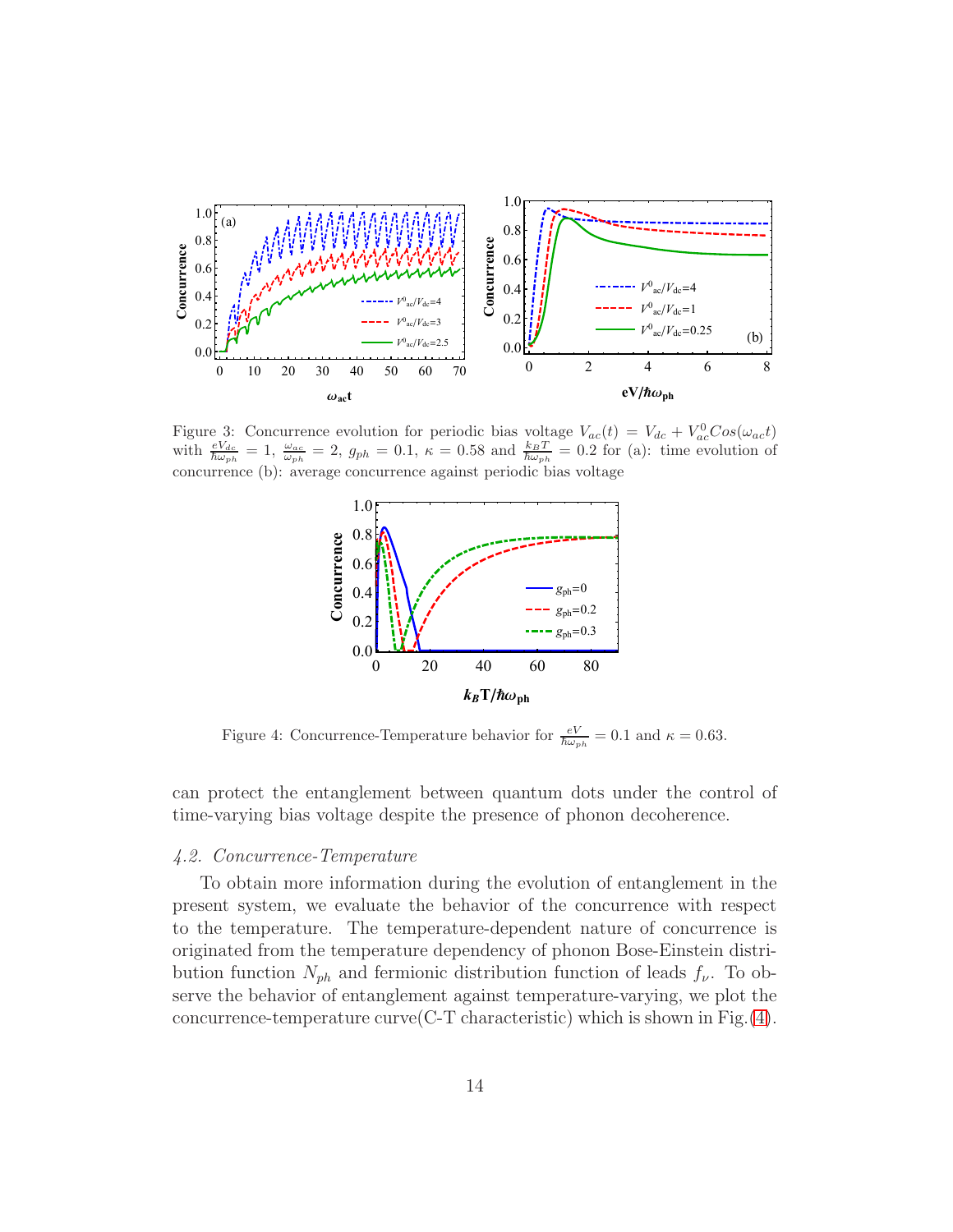

<span id="page-13-0"></span>Figure 3: Concurrence evolution for periodic bias voltage  $V_{ac}(t) = V_{dc} + V_{ac}^0 Cos(\omega_{ac}t)$ with  $\frac{eV_{dc}}{\hbar\omega_{ph}}=1$ ,  $\frac{\omega_{ac}}{\omega_{ph}}=2$ ,  $g_{ph}=0.1$ ,  $\kappa=0.58$  and  $\frac{k_BT}{\hbar\omega_{ph}}=0.2$  for (a): time evolution of concurrence (b): average concurrence against periodic bias voltage



<span id="page-13-1"></span>Figure 4: Concurrence-Temperature behavior for  $\frac{eV}{\hbar\omega_{ph}} = 0.1$  and  $\kappa = 0.63$ .

can protect the entanglement between quantum dots under the control of time-varying bias voltage despite the presence of phonon decoherence.

# *4.2. Concurrence-Temperature*

To obtain more information during the evolution of entanglement in the present system, we evaluate the behavior of the concurrence with respect to the temperature. The temperature-dependent nature of concurrence is originated from the temperature dependency of phonon Bose-Einstein distribution function  $N_{ph}$  and fermionic distribution function of leads  $f_{\nu}$ . To observe the behavior of entanglement against temperature-varying, we plot the concurrence-temperature curve  $(C-T$  characteristic) which is shown in Fig.  $(4)$ .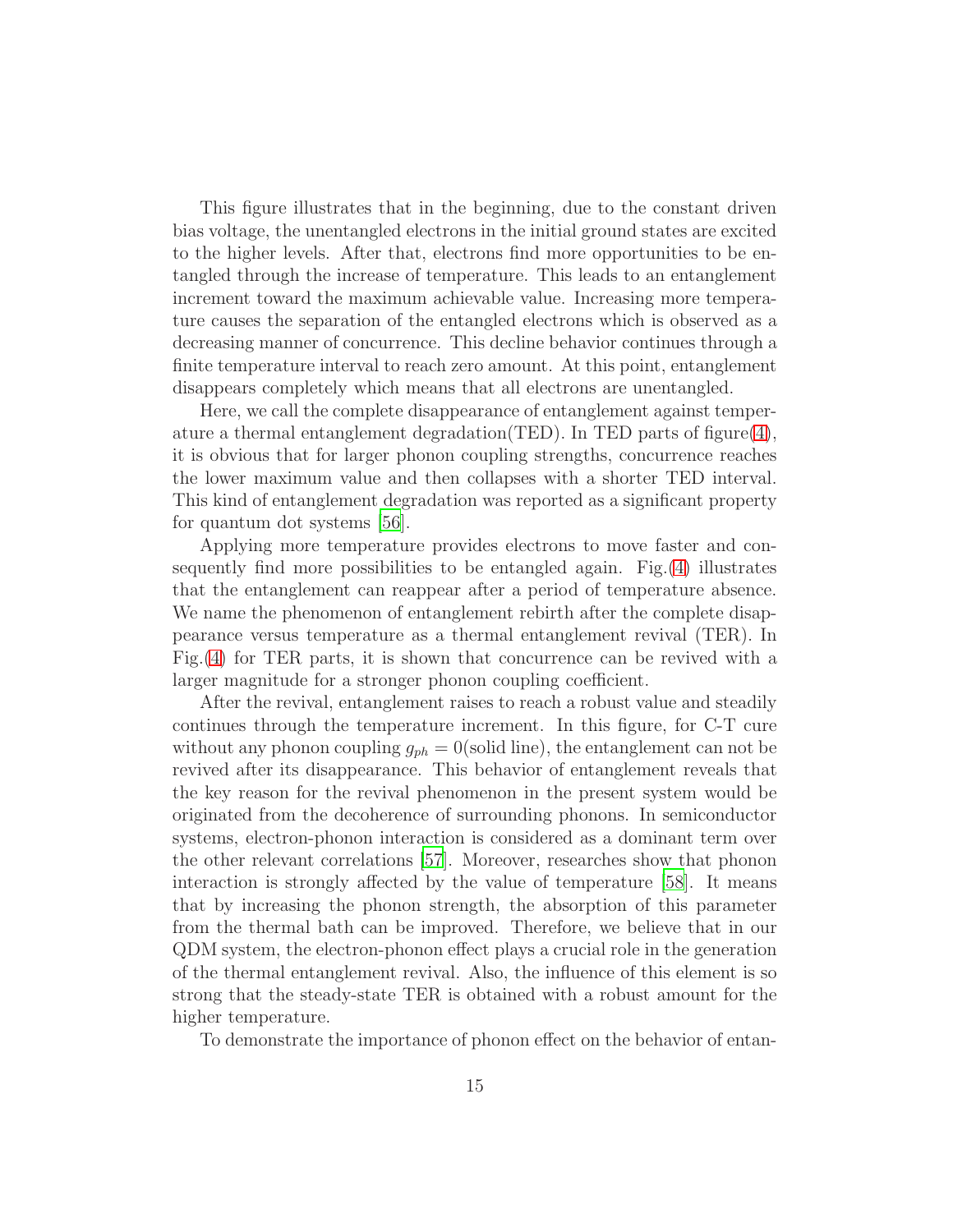This figure illustrates that in the beginning, due to the constant driven bias voltage, the unentangled electrons in the initial ground states are excited to the higher levels. After that, electrons find more opportunities to be entangled through the increase of temperature. This leads to an entanglement increment toward the maximum achievable value. Increasing more temperature causes the separation of the entangled electrons which is observed as a decreasing manner of concurrence. This decline behavior continues through a finite temperature interval to reach zero amount. At this point, entanglement disappears completely which means that all electrons are unentangled.

Here, we call the complete disappearance of entanglement against temperature a thermal entanglement degradation (TED). In TED parts of figure  $(4)$ , it is obvious that for larger phonon coupling strengths, concurrence reaches the lower maximum value and then collapses with a shorter TED interval. This kind of entanglement degradation was reported as a significant property for quantum dot systems [\[56](#page-20-7)].

Applying more temperature provides electrons to move faster and consequently find more possibilities to be entangled again. Fig.[\(4\)](#page-13-1) illustrates that the entanglement can reappear after a period of temperature absence. We name the phenomenon of entanglement rebirth after the complete disappearance versus temperature as a thermal entanglement revival (TER). In Fig.[\(4\)](#page-13-1) for TER parts, it is shown that concurrence can be revived with a larger magnitude for a stronger phonon coupling coefficient.

After the revival, entanglement raises to reach a robust value and steadily continues through the temperature increment. In this figure, for C-T cure without any phonon coupling  $g_{ph} = 0$  (solid line), the entanglement can not be revived after its disappearance. This behavior of entanglement reveals that the key reason for the revival phenomenon in the present system would be originated from the decoherence of surrounding phonons. In semiconductor systems, electron-phonon interaction is considered as a dominant term over the other relevant correlations [\[57\]](#page-20-8). Moreover, researches show that phonon interaction is strongly affected by the value of temperature [\[58\]](#page-20-9). It means that by increasing the phonon strength, the absorption of this parameter from the thermal bath can be improved. Therefore, we believe that in our QDM system, the electron-phonon effect plays a crucial role in the generation of the thermal entanglement revival. Also, the influence of this element is so strong that the steady-state TER is obtained with a robust amount for the higher temperature.

To demonstrate the importance of phonon effect on the behavior of entan-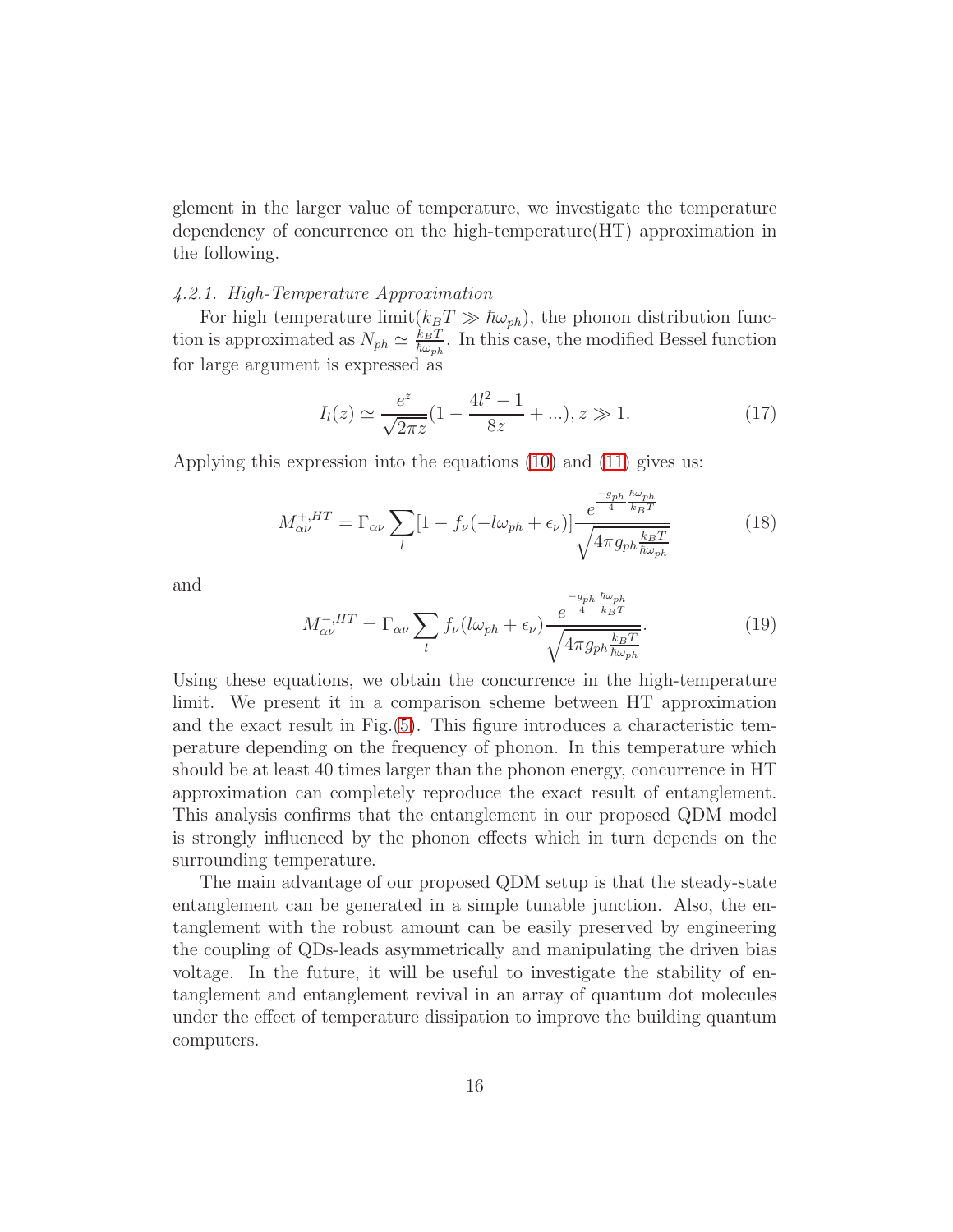glement in the larger value of temperature, we investigate the temperature dependency of concurrence on the high-temperature(HT) approximation in the following.

# *4.2.1. High-Temperature Approximation*

For high temperature limit( $k_BT \gg \hbar \omega_{ph}$ ), the phonon distribution function is approximated as  $N_{ph} \simeq \frac{k_B T}{\hbar \omega_{ph}}$ . In this case, the modified Bessel function for large argument is expressed as

$$
I_l(z) \simeq \frac{e^z}{\sqrt{2\pi z}} (1 - \frac{4l^2 - 1}{8z} + \ldots), z \gg 1.
$$
 (17)

Applying this expression into the equations [\(10\)](#page-7-0) and [\(11\)](#page-7-1) gives us:

$$
M_{\alpha\nu}^{+,HT} = \Gamma_{\alpha\nu} \sum_{l} [1 - f_{\nu}(-l\omega_{ph} + \epsilon_{\nu})] \frac{e^{\frac{-g_{ph}}{4} \frac{\hbar \omega_{ph}}{k_B T}}}{\sqrt{4 \pi g_{ph} \frac{k_B T}{\hbar \omega_{ph}}}}
$$
(18)

and

$$
M_{\alpha\nu}^{-,HT} = \Gamma_{\alpha\nu} \sum_{l} f_{\nu} (l\omega_{ph} + \epsilon_{\nu}) \frac{e^{\frac{-g_{ph}}{4} \frac{\hbar \omega_{ph}}{k_B T}}}{\sqrt{4 \pi g_{ph} \frac{k_B T}{\hbar \omega_{ph}}}}.
$$
(19)

Using these equations, we obtain the concurrence in the high-temperature limit. We present it in a comparison scheme between HT approximation and the exact result in Fig.[\(5\)](#page-16-1). This figure introduces a characteristic temperature depending on the frequency of phonon. In this temperature which should be at least 40 times larger than the phonon energy, concurrence in HT approximation can completely reproduce the exact result of entanglement. This analysis confirms that the entanglement in our proposed QDM model is strongly influenced by the phonon effects which in turn depends on the surrounding temperature.

The main advantage of our proposed QDM setup is that the steady-state entanglement can be generated in a simple tunable junction. Also, the entanglement with the robust amount can be easily preserved by engineering the coupling of QDs-leads asymmetrically and manipulating the driven bias voltage. In the future, it will be useful to investigate the stability of entanglement and entanglement revival in an array of quantum dot molecules under the effect of temperature dissipation to improve the building quantum computers.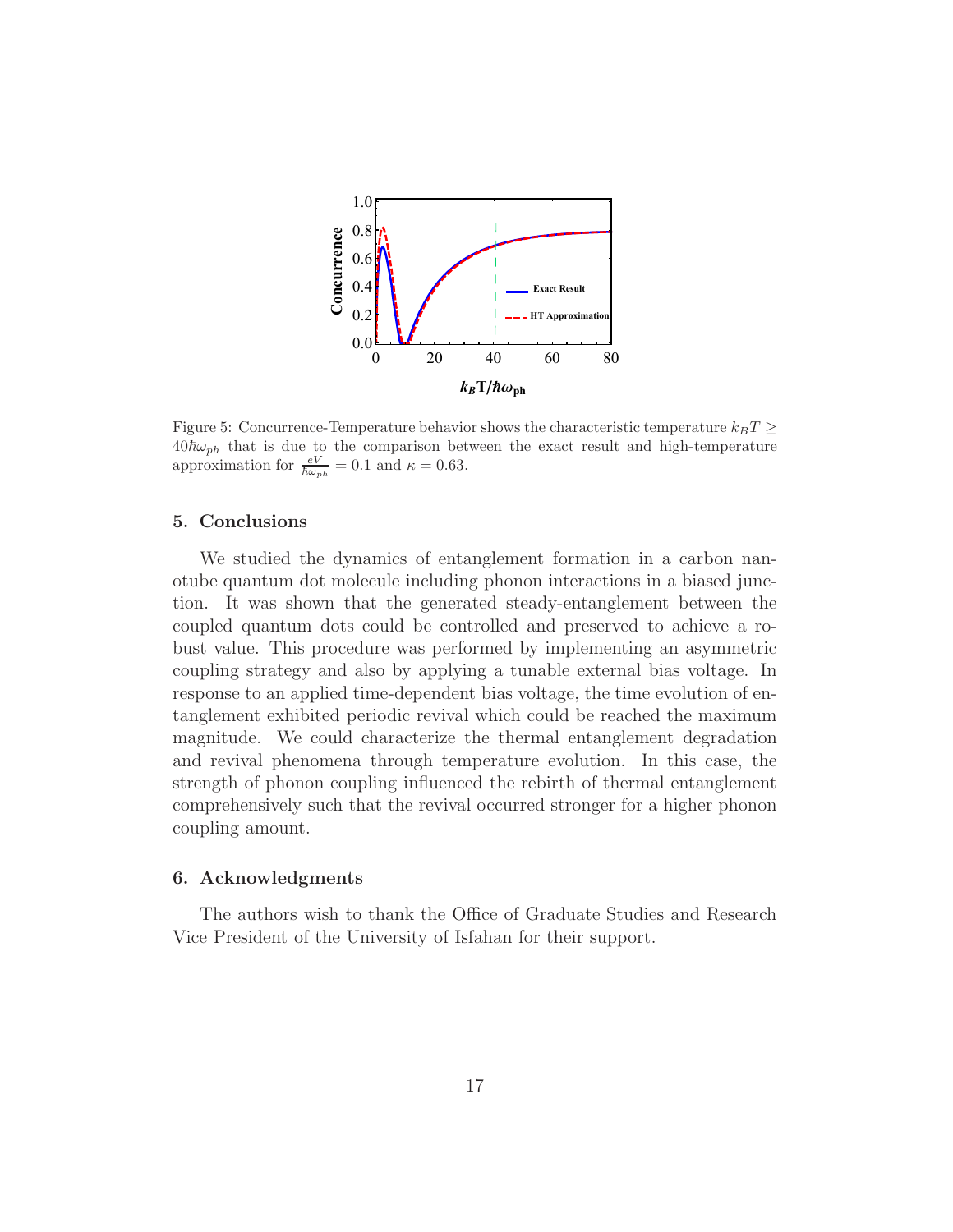

<span id="page-16-1"></span>Figure 5: Concurrence-Temperature behavior shows the characteristic temperature  $k_BT \geq$  $40\hbar\omega_{ph}$  that is due to the comparison between the exact result and high-temperature approximation for  $\frac{eV}{\hbar\omega_{ph}} = 0.1$  and  $\kappa = 0.63$ .

# <span id="page-16-0"></span>5. Conclusions

We studied the dynamics of entanglement formation in a carbon nanotube quantum dot molecule including phonon interactions in a biased junction. It was shown that the generated steady-entanglement between the coupled quantum dots could be controlled and preserved to achieve a robust value. This procedure was performed by implementing an asymmetric coupling strategy and also by applying a tunable external bias voltage. In response to an applied time-dependent bias voltage, the time evolution of entanglement exhibited periodic revival which could be reached the maximum magnitude. We could characterize the thermal entanglement degradation and revival phenomena through temperature evolution. In this case, the strength of phonon coupling influenced the rebirth of thermal entanglement comprehensively such that the revival occurred stronger for a higher phonon coupling amount.

#### 6. Acknowledgments

The authors wish to thank the Office of Graduate Studies and Research Vice President of the University of Isfahan for their support.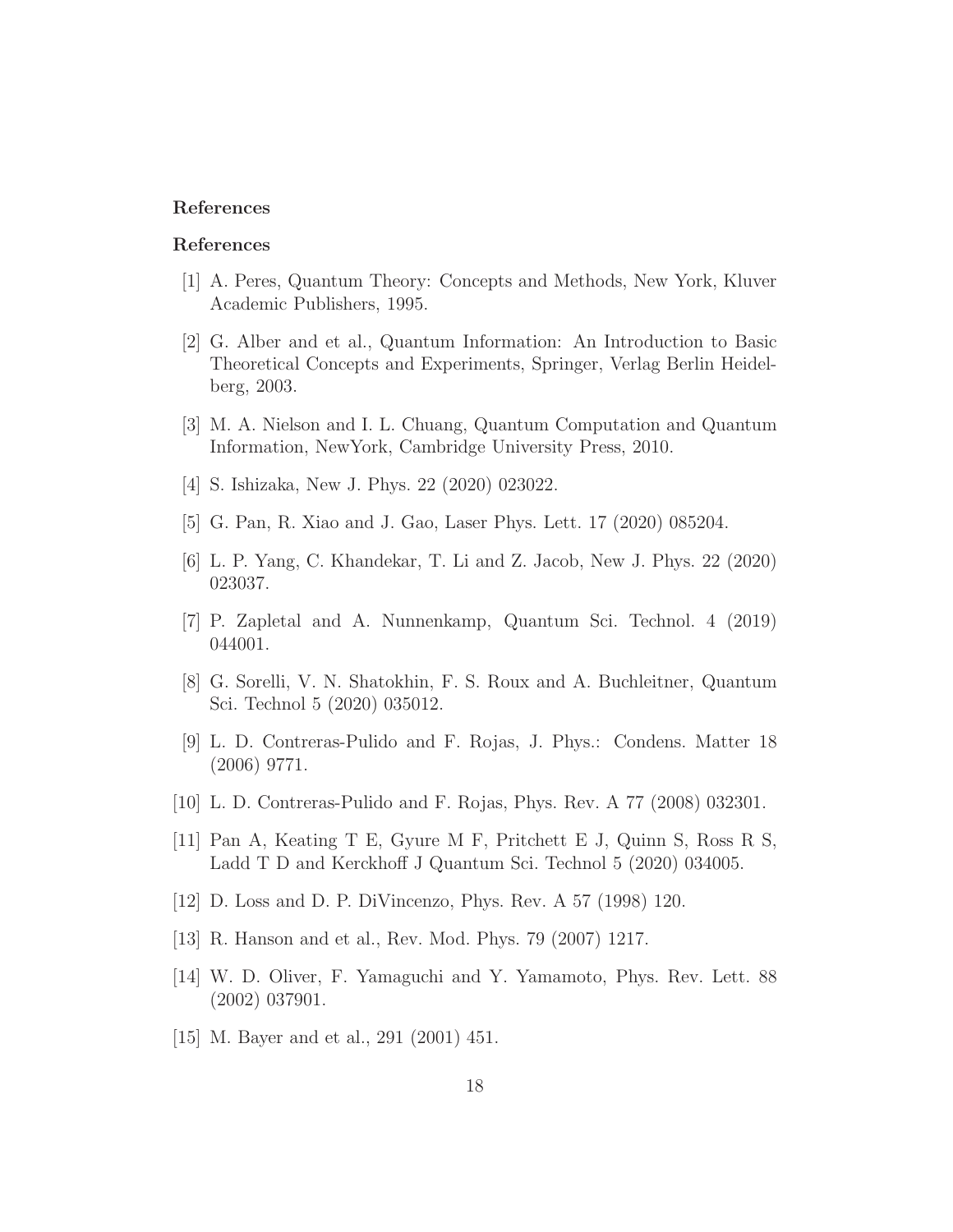# References

#### References

- <span id="page-17-0"></span>[1] A. Peres, Quantum Theory: Concepts and Methods, New York, Kluver Academic Publishers, 1995.
- <span id="page-17-1"></span>[2] G. Alber and et al., Quantum Information: An Introduction to Basic Theoretical Concepts and Experiments, Springer, Verlag Berlin Heidelberg, 2003.
- <span id="page-17-2"></span>[3] M. A. Nielson and I. L. Chuang, Quantum Computation and Quantum Information, NewYork, Cambridge University Press, 2010.
- <span id="page-17-3"></span>[4] S. Ishizaka, New J. Phys. 22 (2020) 023022.
- <span id="page-17-4"></span>[5] G. Pan, R. Xiao and J. Gao, Laser Phys. Lett. 17 (2020) 085204.
- <span id="page-17-5"></span>[6] L. P. Yang, C. Khandekar, T. Li and Z. Jacob, New J. Phys. 22 (2020) 023037.
- <span id="page-17-6"></span>[7] P. Zapletal and A. Nunnenkamp, Quantum Sci. Technol. 4 (2019) 044001.
- <span id="page-17-7"></span>[8] G. Sorelli, V. N. Shatokhin, F. S. Roux and A. Buchleitner, Quantum Sci. Technol 5 (2020) 035012.
- <span id="page-17-8"></span>[9] L. D. Contreras-Pulido and F. Rojas, J. Phys.: Condens. Matter 18 (2006) 9771.
- <span id="page-17-9"></span>[10] L. D. Contreras-Pulido and F. Rojas, Phys. Rev. A 77 (2008) 032301.
- <span id="page-17-10"></span>[11] Pan A, Keating T E, Gyure M F, Pritchett E J, Quinn S, Ross R S, Ladd T D and Kerckhoff J Quantum Sci. Technol 5 (2020) 034005.
- <span id="page-17-11"></span>[12] D. Loss and D. P. DiVincenzo, Phys. Rev. A 57 (1998) 120.
- <span id="page-17-12"></span>[13] R. Hanson and et al., Rev. Mod. Phys. 79 (2007) 1217.
- <span id="page-17-13"></span>[14] W. D. Oliver, F. Yamaguchi and Y. Yamamoto, Phys. Rev. Lett. 88 (2002) 037901.
- <span id="page-17-14"></span>[15] M. Bayer and et al., 291 (2001) 451.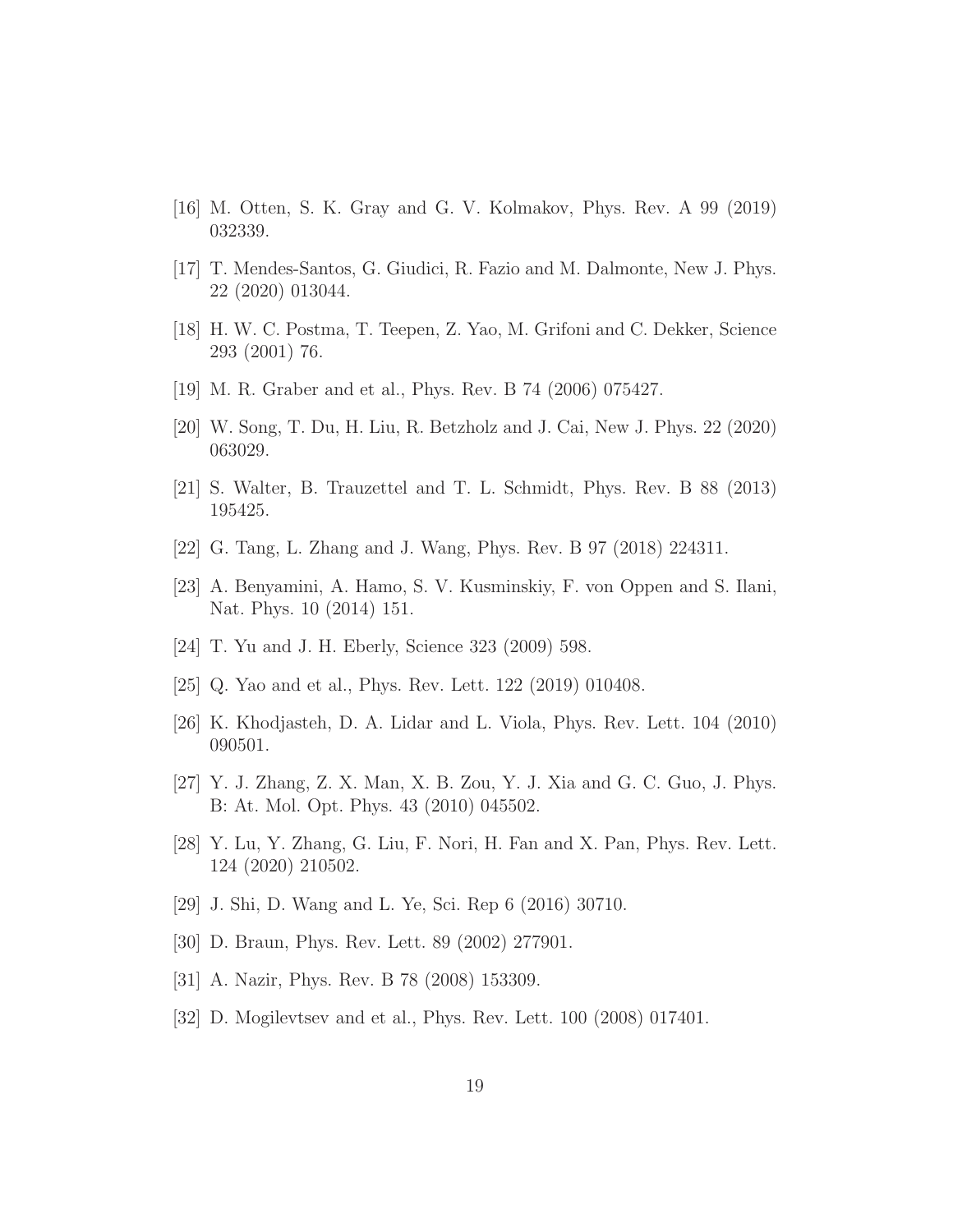- <span id="page-18-0"></span>[16] M. Otten, S. K. Gray and G. V. Kolmakov, Phys. Rev. A 99 (2019) 032339.
- <span id="page-18-1"></span>[17] T. Mendes-Santos, G. Giudici, R. Fazio and M. Dalmonte, New J. Phys. 22 (2020) 013044.
- <span id="page-18-2"></span>[18] H. W. C. Postma, T. Teepen, Z. Yao, M. Grifoni and C. Dekker, Science 293 (2001) 76.
- <span id="page-18-3"></span>[19] M. R. Graber and et al., Phys. Rev. B 74 (2006) 075427.
- <span id="page-18-4"></span>[20] W. Song, T. Du, H. Liu, R. Betzholz and J. Cai, New J. Phys. 22 (2020) 063029.
- <span id="page-18-5"></span>[21] S. Walter, B. Trauzettel and T. L. Schmidt, Phys. Rev. B 88 (2013) 195425.
- <span id="page-18-6"></span>[22] G. Tang, L. Zhang and J. Wang, Phys. Rev. B 97 (2018) 224311.
- <span id="page-18-7"></span>[23] A. Benyamini, A. Hamo, S. V. Kusminskiy, F. von Oppen and S. Ilani, Nat. Phys. 10 (2014) 151.
- <span id="page-18-8"></span>[24] T. Yu and J. H. Eberly, Science 323 (2009) 598.
- <span id="page-18-9"></span>[25] Q. Yao and et al., Phys. Rev. Lett. 122 (2019) 010408.
- <span id="page-18-10"></span>[26] K. Khodjasteh, D. A. Lidar and L. Viola, Phys. Rev. Lett. 104 (2010) 090501.
- <span id="page-18-11"></span>[27] Y. J. Zhang, Z. X. Man, X. B. Zou, Y. J. Xia and G. C. Guo, J. Phys. B: At. Mol. Opt. Phys. 43 (2010) 045502.
- <span id="page-18-12"></span>[28] Y. Lu, Y. Zhang, G. Liu, F. Nori, H. Fan and X. Pan, Phys. Rev. Lett. 124 (2020) 210502.
- <span id="page-18-13"></span>[29] J. Shi, D. Wang and L. Ye, Sci. Rep 6 (2016) 30710.
- <span id="page-18-14"></span>[30] D. Braun, Phys. Rev. Lett. 89 (2002) 277901.
- <span id="page-18-15"></span>[31] A. Nazir, Phys. Rev. B 78 (2008) 153309.
- <span id="page-18-16"></span>[32] D. Mogilevtsev and et al., Phys. Rev. Lett. 100 (2008) 017401.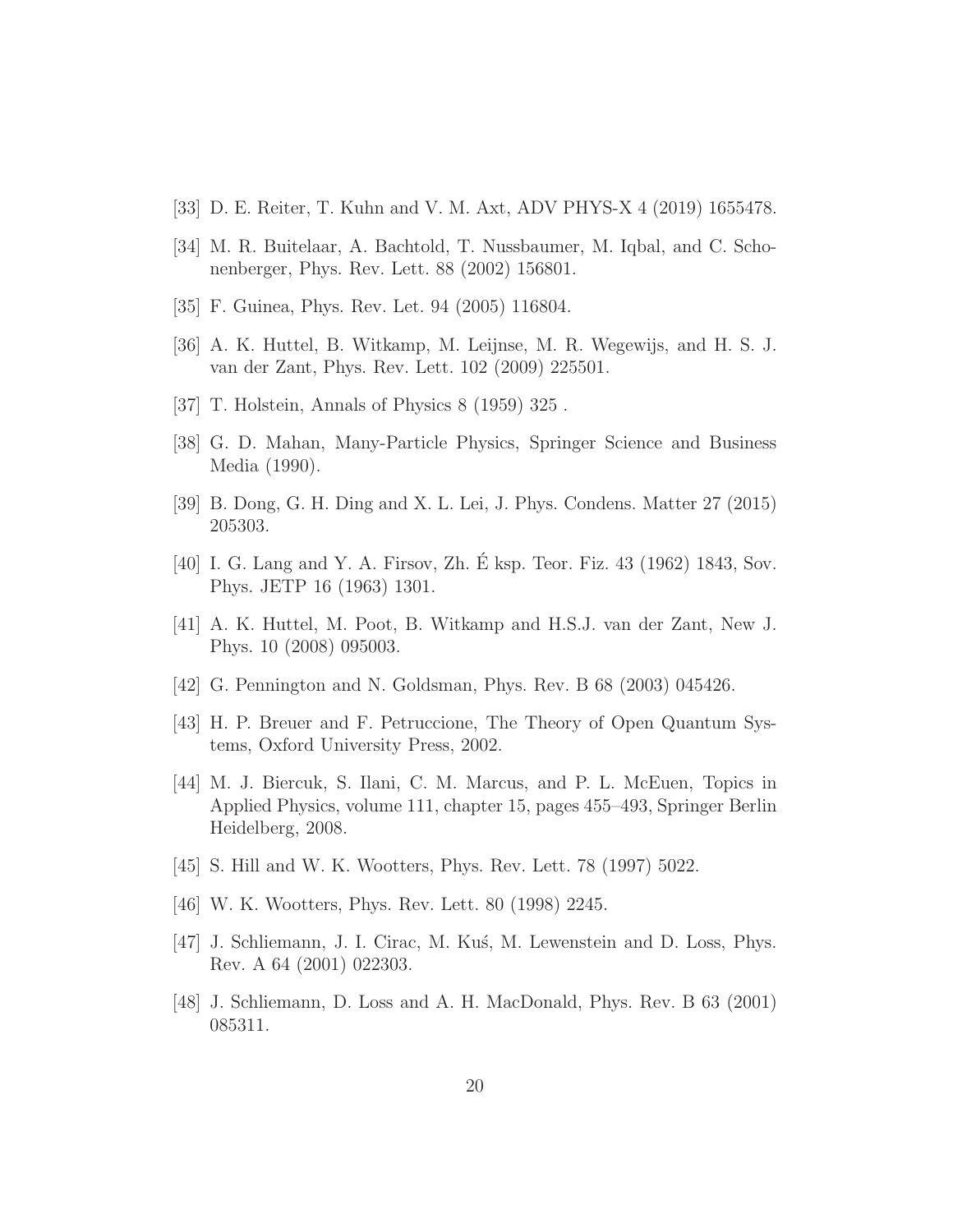- <span id="page-19-0"></span>[33] D. E. Reiter, T. Kuhn and V. M. Axt, ADV PHYS-X 4 (2019) 1655478.
- <span id="page-19-1"></span>[34] M. R. Buitelaar, A. Bachtold, T. Nussbaumer, M. Iqbal, and C. Schonenberger, Phys. Rev. Lett. 88 (2002) 156801.
- <span id="page-19-2"></span>[35] F. Guinea, Phys. Rev. Let. 94 (2005) 116804.
- <span id="page-19-3"></span>[36] A. K. Huttel, B. Witkamp, M. Leijnse, M. R. Wegewijs, and H. S. J. van der Zant, Phys. Rev. Lett. 102 (2009) 225501.
- <span id="page-19-4"></span>[37] T. Holstein, Annals of Physics 8 (1959) 325 .
- <span id="page-19-5"></span>[38] G. D. Mahan, Many-Particle Physics, Springer Science and Business Media (1990).
- <span id="page-19-6"></span>[39] B. Dong, G. H. Ding and X. L. Lei, J. Phys. Condens. Matter 27 (2015) 205303.
- <span id="page-19-7"></span>[40] I. G. Lang and Y. A. Firsov, Zh. É ksp. Teor. Fiz. 43 (1962) 1843, Sov. Phys. JETP 16 (1963) 1301.
- <span id="page-19-8"></span>[41] A. K. Huttel, M. Poot, B. Witkamp and H.S.J. van der Zant, New J. Phys. 10 (2008) 095003.
- <span id="page-19-9"></span>[42] G. Pennington and N. Goldsman, Phys. Rev. B 68 (2003) 045426.
- <span id="page-19-10"></span>[43] H. P. Breuer and F. Petruccione, The Theory of Open Quantum Systems, Oxford University Press, 2002.
- <span id="page-19-11"></span>[44] M. J. Biercuk, S. Ilani, C. M. Marcus, and P. L. McEuen, Topics in Applied Physics, volume 111, chapter 15, pages 455–493, Springer Berlin Heidelberg, 2008.
- <span id="page-19-12"></span>[45] S. Hill and W. K. Wootters, Phys. Rev. Lett. 78 (1997) 5022.
- <span id="page-19-13"></span>[46] W. K. Wootters, Phys. Rev. Lett. 80 (1998) 2245.
- <span id="page-19-14"></span>[47] J. Schliemann, J. I. Cirac, M. Kus, M. Lewenstein and D. Loss, Phys. Rev. A 64 (2001) 022303.
- <span id="page-19-15"></span>[48] J. Schliemann, D. Loss and A. H. MacDonald, Phys. Rev. B 63 (2001) 085311.